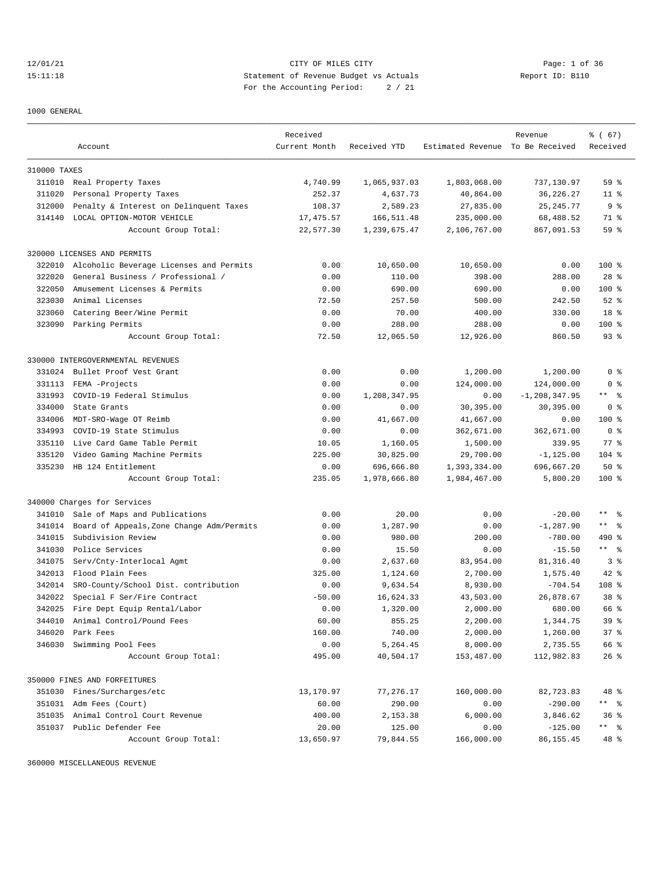12/01/21 CITY OF MILES CITY Page: 1 of 36 15:11:18 Statement of Revenue Budget vs Actuals Report ID: B110 For the Accounting Period: 2 / 21

#### 1000 GENERAL

|              |                                           | Received      |              |                                  | Revenue           | % (67)           |
|--------------|-------------------------------------------|---------------|--------------|----------------------------------|-------------------|------------------|
|              | Account                                   | Current Month | Received YTD | Estimated Revenue To Be Received |                   | Received         |
|              |                                           |               |              |                                  |                   |                  |
| 310000 TAXES |                                           |               |              |                                  |                   |                  |
|              | 311010 Real Property Taxes                | 4,740.99      | 1,065,937.03 | 1,803,068.00                     | 737,130.97        | 59 <sup>8</sup>  |
| 311020       | Personal Property Taxes                   | 252.37        | 4,637.73     | 40,864.00                        | 36, 226. 27       | 11 <sup>°</sup>  |
| 312000       | Penalty & Interest on Delinquent Taxes    | 108.37        | 2,589.23     | 27,835.00                        | 25, 245.77        | 9 <sub>8</sub>   |
|              | 314140 LOCAL OPTION-MOTOR VEHICLE         | 17,475.57     | 166,511.48   | 235,000.00                       | 68,488.52         | 71 %             |
|              | Account Group Total:                      | 22,577.30     | 1,239,675.47 | 2,106,767.00                     | 867,091.53        | 59 %             |
|              | 320000 LICENSES AND PERMITS               |               |              |                                  |                   |                  |
| 322010       | Alcoholic Beverage Licenses and Permits   | 0.00          | 10,650.00    | 10,650.00                        | 0.00              | $100$ %          |
| 322020       | General Business / Professional /         | 0.00          | 110.00       | 398.00                           | 288.00            | $28$ %           |
| 322050       | Amusement Licenses & Permits              | 0.00          | 690.00       | 690.00                           | 0.00              | $100$ %          |
| 323030       | Animal Licenses                           | 72.50         | 257.50       | 500.00                           | 242.50            | $52$ $%$         |
| 323060       | Catering Beer/Wine Permit                 | 0.00          | 70.00        | 400.00                           | 330.00            | 18 %             |
| 323090       | Parking Permits                           | 0.00          | 288.00       | 288.00                           | 0.00              | $100$ %          |
|              | Account Group Total:                      | 72.50         | 12,065.50    | 12,926.00                        | 860.50            | $93$ $%$         |
|              | 330000 INTERGOVERNMENTAL REVENUES         |               |              |                                  |                   |                  |
| 331024       | Bullet Proof Vest Grant                   | 0.00          | 0.00         | 1,200.00                         | 1,200.00          | 0 <sup>8</sup>   |
| 331113       | FEMA -Projects                            | 0.00          | 0.00         | 124,000.00                       | 124,000.00        | 0 <sup>8</sup>   |
| 331993       | COVID-19 Federal Stimulus                 | 0.00          | 1,208,347.95 | 0.00                             | $-1, 208, 347.95$ | ** 응             |
| 334000       | State Grants                              | 0.00          | 0.00         | 30,395.00                        | 30,395.00         | 0 <sup>8</sup>   |
| 334006       | MDT-SRO-Wage OT Reimb                     | 0.00          | 41,667.00    | 41,667.00                        | 0.00              | $100*$           |
| 334993       | COVID-19 State Stimulus                   | 0.00          | 0.00         | 362,671.00                       | 362,671.00        | 0 <sup>8</sup>   |
| 335110       | Live Card Game Table Permit               | 10.05         | 1,160.05     | 1,500.00                         | 339.95            | $77$ $%$         |
| 335120       | Video Gaming Machine Permits              | 225.00        | 30,825.00    | 29,700.00                        | $-1, 125.00$      | $104$ %          |
| 335230       | HB 124 Entitlement                        | 0.00          | 696,666.80   | 1,393,334.00                     | 696,667.20        | 50%              |
|              |                                           | 235.05        | 1,978,666.80 |                                  |                   | $100$ %          |
|              | Account Group Total:                      |               |              | 1,984,467.00                     | 5,800.20          |                  |
|              | 340000 Charges for Services               |               |              |                                  |                   |                  |
| 341010       | Sale of Maps and Publications             | 0.00          | 20.00        | 0.00                             | $-20.00$          | ** 왕             |
| 341014       | Board of Appeals, Zone Change Adm/Permits | 0.00          | 1,287.90     | 0.00                             | $-1, 287.90$      | $***$ $ -$       |
| 341015       | Subdivision Review                        | 0.00          | 980.00       | 200.00                           | $-780.00$         | 490 %            |
| 341030       | Police Services                           | 0.00          | 15.50        | 0.00                             | $-15.50$          | $***$ $ -$       |
| 341075       | Serv/Cnty-Interlocal Agmt                 | 0.00          | 2,637.60     | 83,954.00                        | 81,316.40         | 3 <sup>8</sup>   |
| 342013       | Flood Plain Fees                          | 325.00        | 1,124.60     | 2,700.00                         | 1,575.40          | $42$ %           |
| 342014       | SRO-County/School Dist. contribution      | 0.00          | 9,634.54     | 8,930.00                         | $-704.54$         | 108 <sup>8</sup> |
| 342022       | Special F Ser/Fire Contract               | $-50.00$      | 16,624.33    | 43,503.00                        | 26,878.67         | 38 %             |
| 342025       | Fire Dept Equip Rental/Labor              | 0.00          | 1,320.00     | 2,000.00                         | 680.00            | 66 %             |
| 344010       | Animal Control/Pound Fees                 | 60.00         | 855.25       | 2,200.00                         | 1,344.75          | 39 %             |
| 346020       | Park Fees                                 | 160.00        | 740.00       | 2,000.00                         | 1,260.00          | 37%              |
| 346030       | Swimming Pool Fees                        | 0.00          | 5,264.45     | 8,000.00                         | 2,735.55          | 66 %             |
|              | Account Group Total:                      | 495.00        | 40,504.17    | 153,487.00                       | 112,982.83        | $26$ %           |
|              | 350000 FINES AND FORFEITURES              |               |              |                                  |                   |                  |
| 351030       | Fines/Surcharges/etc                      | 13,170.97     | 77,276.17    | 160,000.00                       | 82,723.83         | 48 %             |
| 351031       | Adm Fees (Court)                          | 60.00         | 290.00       | 0.00                             | $-290.00$         | ** %             |
| 351035       | Animal Control Court Revenue              | 400.00        | 2,153.38     | 6,000.00                         | 3,846.62          | 36%              |
|              | 351037 Public Defender Fee                | 20.00         | 125.00       | 0.00                             | $-125.00$         | ** %             |
|              | Account Group Total:                      | 13,650.97     | 79,844.55    | 166,000.00                       | 86,155.45         | 48 %             |

360000 MISCELLANEOUS REVENUE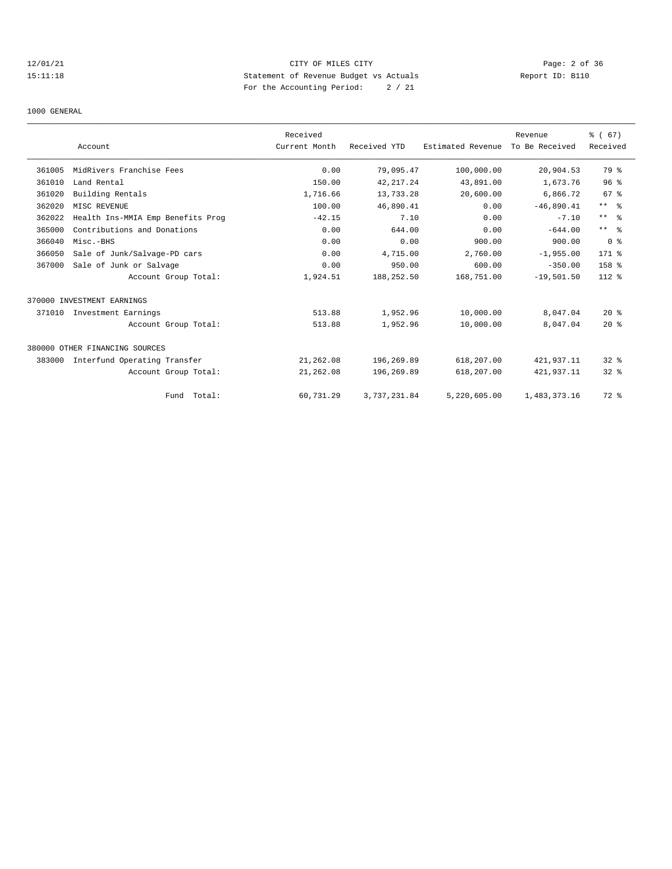## 12/01/21 CITY OF MILES CITY Page: 2 of 36 15:11:18 Statement of Revenue Budget vs Actuals Report ID: B110 For the Accounting Period: 2 / 21

#### 1000 GENERAL

|        |                                   | Received      |              |                   | Revenue        | % (67)         |
|--------|-----------------------------------|---------------|--------------|-------------------|----------------|----------------|
|        | Account                           | Current Month | Received YTD | Estimated Revenue | To Be Received | Received       |
| 361005 | MidRivers Franchise Fees          | 0.00          | 79,095.47    | 100,000.00        | 20,904.53      | 79 %           |
| 361010 | Land Rental                       | 150.00        | 42, 217.24   | 43,891.00         | 1,673.76       | 96%            |
| 361020 | Building Rentals                  | 1,716.66      | 13,733.28    | 20,600.00         | 6,866.72       | 67 %           |
| 362020 | MISC REVENUE                      | 100.00        | 46,890.41    | 0.00              | $-46,890.41$   | $***$ $ -$     |
| 362022 | Health Ins-MMIA Emp Benefits Prog | $-42.15$      | 7.10         | 0.00              | $-7.10$        | $***$ $ -$     |
| 365000 | Contributions and Donations       | 0.00          | 644.00       | 0.00              | $-644.00$      | $***$ $ -$     |
| 366040 | Misc.-BHS                         | 0.00          | 0.00         | 900.00            | 900.00         | 0 <sup>8</sup> |
| 366050 | Sale of Junk/Salvage-PD cars      | 0.00          | 4,715.00     | 2,760.00          | $-1,955.00$    | 171 %          |
| 367000 | Sale of Junk or Salvage           | 0.00          | 950.00       | 600.00            | $-350.00$      | 158 %          |
|        | Account Group Total:              | 1,924.51      | 188,252.50   | 168,751.00        | $-19,501.50$   | $112*$         |
|        | 370000 INVESTMENT EARNINGS        |               |              |                   |                |                |
| 371010 | Investment Earnings               | 513.88        | 1,952.96     | 10,000.00         | 8,047.04       | $20*$          |
|        | Account Group Total:              | 513.88        | 1,952.96     | 10,000.00         | 8,047.04       | $20*$          |
|        | 380000 OTHER FINANCING SOURCES    |               |              |                   |                |                |
| 383000 | Interfund Operating Transfer      | 21,262.08     | 196,269.89   | 618,207.00        | 421,937.11     | $32*$          |
|        | Account Group Total:              | 21,262.08     | 196,269.89   | 618,207.00        | 421,937.11     | $32$ $%$       |
|        | Fund Total:                       | 60,731.29     | 3,737,231.84 | 5,220,605.00      | 1,483,373.16   | 72 %           |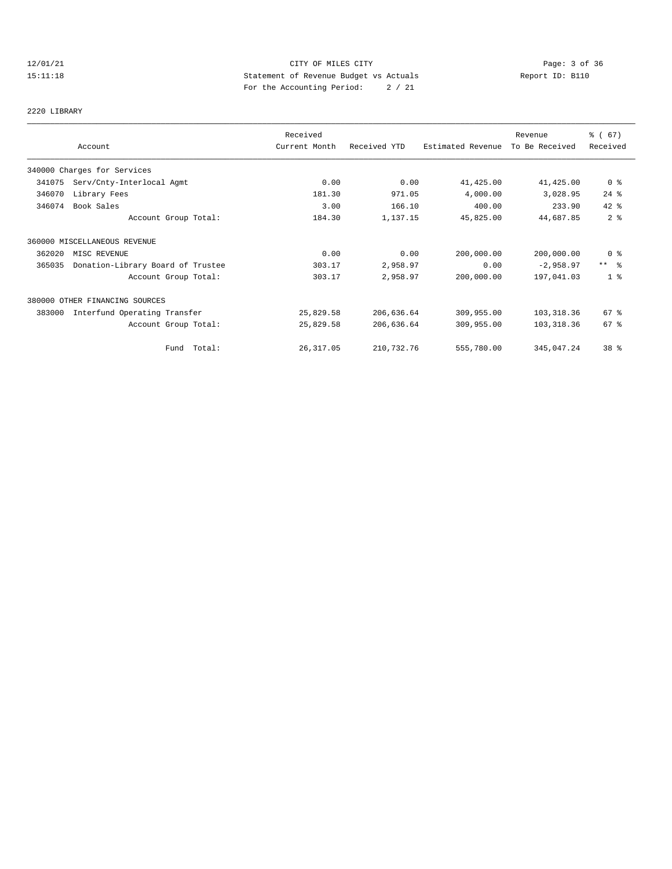## 12/01/21 CITY OF MILES CITY Page: 3 of 36 15:11:18 Statement of Revenue Budget vs Actuals Report ID: B110 For the Accounting Period: 2 / 21

## 2220 LIBRARY

|        | Account                           | Received<br>Current Month | Received YTD | Estimated Revenue | Revenue<br>To Be Received | % (67)<br>Received |
|--------|-----------------------------------|---------------------------|--------------|-------------------|---------------------------|--------------------|
|        | 340000 Charges for Services       |                           |              |                   |                           |                    |
| 341075 | Serv/Cnty-Interlocal Agmt         | 0.00                      | 0.00         | 41,425.00         | 41,425.00                 | 0 %                |
| 346070 | Library Fees                      | 181.30                    | 971.05       | 4,000.00          | 3,028.95                  | $24$ %             |
| 346074 | Book Sales                        | 3.00                      | 166.10       | 400.00            | 233.90                    | 42 %               |
|        | Account Group Total:              | 184.30                    | 1,137.15     | 45,825.00         | 44,687.85                 | 2 <sup>8</sup>     |
|        | 360000 MISCELLANEOUS REVENUE      |                           |              |                   |                           |                    |
| 362020 | MISC REVENUE                      | 0.00                      | 0.00         | 200,000.00        | 200,000.00                | 0 <sup>8</sup>     |
| 365035 | Donation-Library Board of Trustee | 303.17                    | 2,958.97     | 0.00              | $-2,958.97$               | $***$ $\approx$    |
|        | Account Group Total:              | 303.17                    | 2,958.97     | 200,000.00        | 197,041.03                | 1 <sup>8</sup>     |
|        | 380000 OTHER FINANCING SOURCES    |                           |              |                   |                           |                    |
| 383000 | Interfund Operating Transfer      | 25,829.58                 | 206,636.64   | 309,955.00        | 103, 318.36               | $67$ %             |
|        | Account Group Total:              | 25,829.58                 | 206,636.64   | 309,955.00        | 103, 318.36               | 67 %               |
|        | Fund Total:                       | 26, 317.05                | 210,732.76   | 555,780.00        | 345,047.24                | 38 <sup>8</sup>    |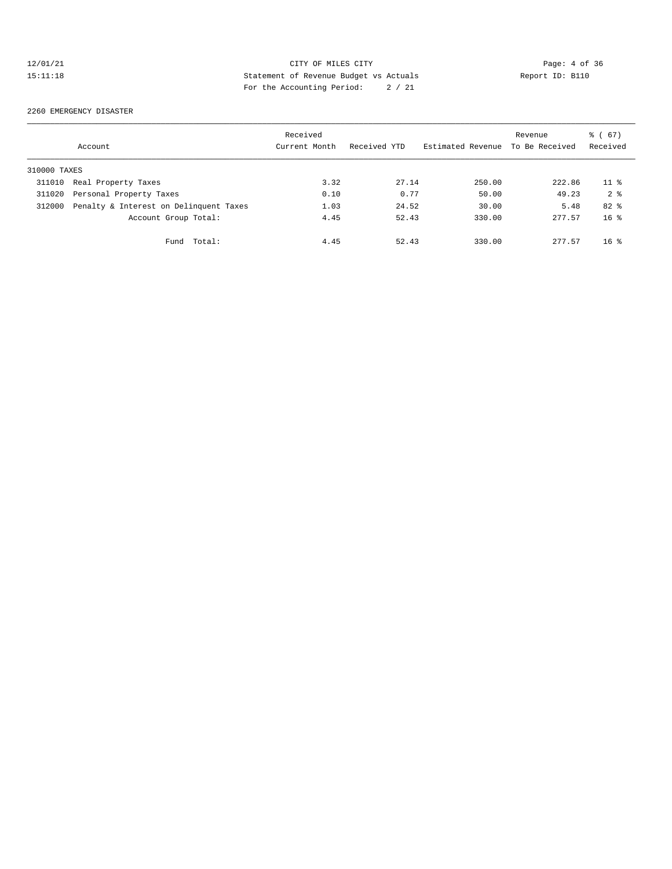## 12/01/21 CITY OF MILES CITY Page: 4 of 36 15:11:18 Statement of Revenue Budget vs Actuals Report ID: B110 For the Accounting Period: 2 / 21

#### 2260 EMERGENCY DISASTER

|              | Account                                | Received<br>Current Month | Received YTD | Estimated Revenue | Revenue<br>To Be Received | 8 ( 67 )<br>Received |
|--------------|----------------------------------------|---------------------------|--------------|-------------------|---------------------------|----------------------|
| 310000 TAXES |                                        |                           |              |                   |                           |                      |
| 311010       | Real Property Taxes                    | 3.32                      | 27.14        | 250.00            | 222.86                    | 11 <sup>8</sup>      |
| 311020       | Personal Property Taxes                | 0.10                      | 0.77         | 50.00             | 49.23                     | 2 <sup>8</sup>       |
| 312000       | Penalty & Interest on Delinquent Taxes | 1.03                      | 24.52        | 30.00             | 5.48                      | $82*$                |
|              | Account Group Total:                   | 4.45                      | 52.43        | 330.00            | 277.57                    | 16 <sup>8</sup>      |
|              | Total:<br>Fund                         | 4.45                      | 52.43        | 330.00            | 277.57                    | $16*$                |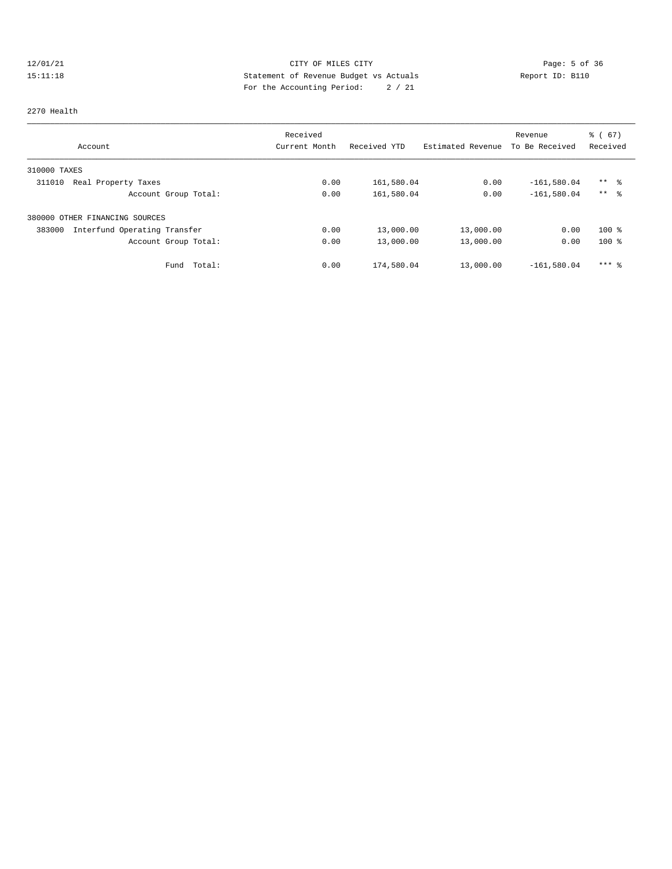## 12/01/21 CITY OF MILES CITY CHES CITY Page: 5 of 36<br>15:11:18 Statement of Revenue Budget vs Actuals Report ID: B110 15:11:18 Statement of Revenue Budget vs Actuals Report ID: B110 For the Accounting Period: 2 / 21

#### 2270 Health

|                                        | Received      |              |                   | Revenue        | $\frac{3}{6}$ (67)  |
|----------------------------------------|---------------|--------------|-------------------|----------------|---------------------|
| Account                                | Current Month | Received YTD | Estimated Revenue | To Be Received | Received            |
| 310000 TAXES                           |               |              |                   |                |                     |
| 311010<br>Real Property Taxes          | 0.00          | 161,580.04   | 0.00              | $-161,580.04$  | $***$ %             |
| Account Group Total:                   | 0.00          | 161,580.04   | 0.00              | $-161.580.04$  | $***$ $\frac{6}{5}$ |
| 380000 OTHER FINANCING SOURCES         |               |              |                   |                |                     |
| Interfund Operating Transfer<br>383000 | 0.00          | 13,000.00    | 13,000.00         | 0.00           | $100*$              |
| Account Group Total:                   | 0.00          | 13,000.00    | 13,000.00         | 0.00           | $100*$              |
| Total:<br>Fund                         | 0.00          | 174,580.04   | 13,000.00         | $-161.580.04$  | $***$ $\frac{6}{5}$ |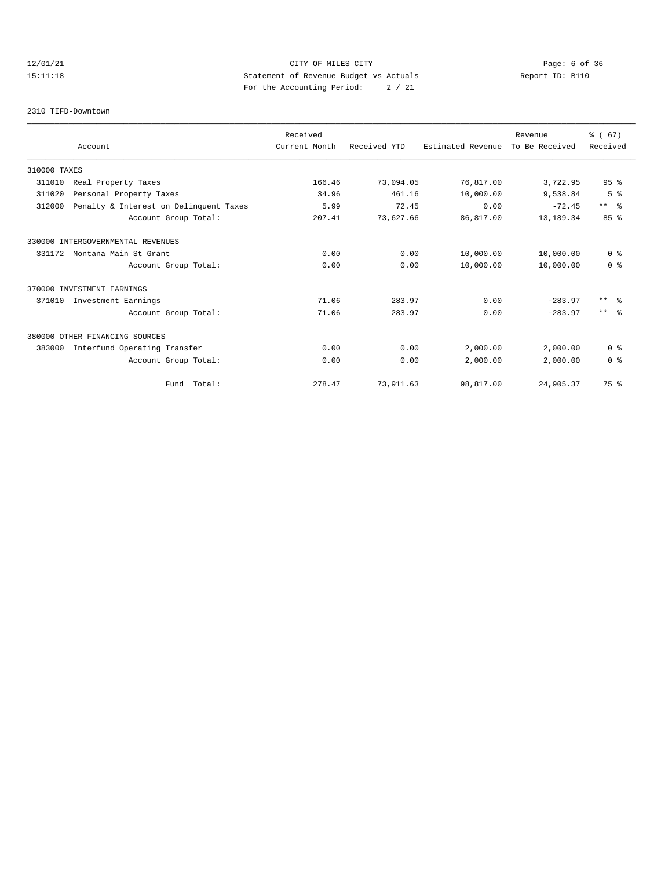# 12/01/21 CITY OF MILES CITY Page: 6 of 36 15:11:18 Statement of Revenue Budget vs Actuals Report ID: B110 For the Accounting Period: 2 / 21

#### 2310 TIFD-Downtown

|              |                                        | Received      |              |                   | Revenue        | % (67)          |
|--------------|----------------------------------------|---------------|--------------|-------------------|----------------|-----------------|
|              | Account                                | Current Month | Received YTD | Estimated Revenue | To Be Received | Received        |
| 310000 TAXES |                                        |               |              |                   |                |                 |
| 311010       | Real Property Taxes                    | 166.46        | 73,094.05    | 76,817.00         | 3,722.95       | 95 <sup>8</sup> |
| 311020       | Personal Property Taxes                | 34.96         | 461.16       | 10,000.00         | 9,538.84       | 5 <sup>°</sup>  |
| 312000       | Penalty & Interest on Delinquent Taxes | 5.99          | 72.45        | 0.00              | $-72.45$       | $***$ $%$       |
|              | Account Group Total:                   | 207.41        | 73,627.66    | 86,817.00         | 13,189.34      | 85%             |
|              | 330000 INTERGOVERNMENTAL REVENUES      |               |              |                   |                |                 |
| 331172       | Montana Main St Grant                  | 0.00          | 0.00         | 10,000.00         | 10,000.00      | 0 <sup>8</sup>  |
|              | Account Group Total:                   | 0.00          | 0.00         | 10,000.00         | 10,000.00      | 0 <sup>8</sup>  |
|              | 370000 INVESTMENT EARNINGS             |               |              |                   |                |                 |
| 371010       | Investment Earnings                    | 71.06         | 283.97       | 0.00              | $-283.97$      | $***$ 8         |
|              | Account Group Total:                   | 71.06         | 283.97       | 0.00              | $-283.97$      | $***$ $\approx$ |
|              | 380000 OTHER FINANCING SOURCES         |               |              |                   |                |                 |
| 383000       | Interfund Operating Transfer           | 0.00          | 0.00         | 2,000.00          | 2,000.00       | 0 <sup>8</sup>  |
|              | Account Group Total:                   | 0.00          | 0.00         | 2,000.00          | 2,000.00       | 0 <sup>8</sup>  |
|              | Fund Total:                            | 278.47        | 73,911.63    | 98,817.00         | 24,905.37      | 75 %            |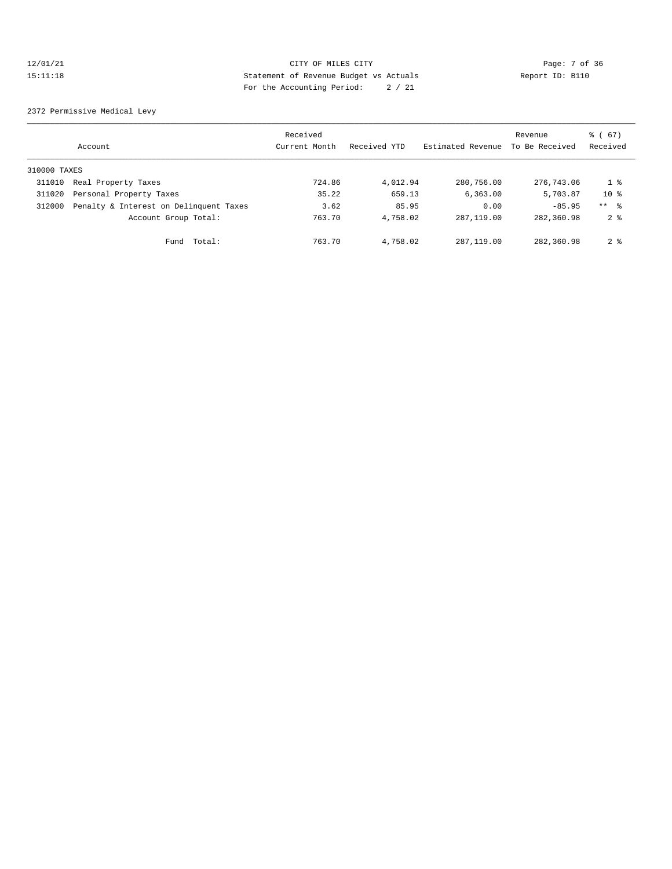## 12/01/21 CITY OF MILES CITY Page: 7 of 36 15:11:18 Statement of Revenue Budget vs Actuals Report ID: B110 For the Accounting Period: 2 / 21

2372 Permissive Medical Levy

|              | Account                                | Received<br>Current Month | Received YTD | Estimated Revenue | Revenue<br>To Be Received | 8 ( 67)<br>Received |
|--------------|----------------------------------------|---------------------------|--------------|-------------------|---------------------------|---------------------|
| 310000 TAXES |                                        |                           |              |                   |                           |                     |
| 311010       | Real Property Taxes                    | 724.86                    | 4,012.94     | 280,756.00        | 276,743.06                | 1 %                 |
| 311020       | Personal Property Taxes                | 35.22                     | 659.13       | 6,363.00          | 5,703.87                  | $10*$               |
| 312000       | Penalty & Interest on Delinquent Taxes | 3.62                      | 85.95        | 0.00              | $-85.95$                  | $***$ %             |
|              | Account Group Total:                   | 763.70                    | 4,758.02     | 287, 119, 00      | 282,360.98                | 2 <sup>8</sup>      |
|              | Fund Total:                            | 763.70                    | 4,758.02     | 287, 119, 00      | 282,360.98                | 2 <sup>8</sup>      |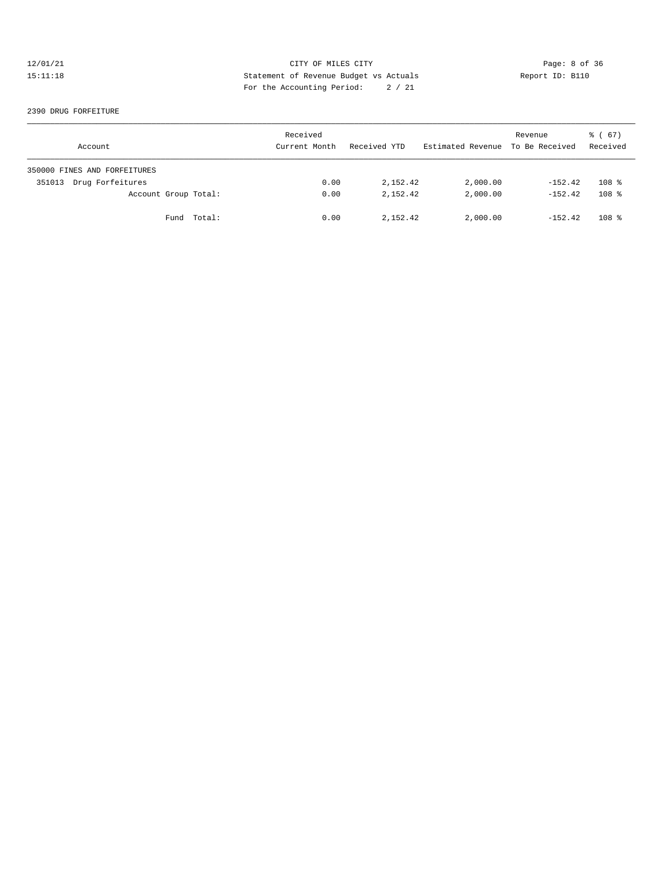## 12/01/21 CITY OF MILES CITY CHES CITY Page: 8 of 36<br>15:11:18 Statement of Revenue Budget vs Actuals Report ID: B110 15:11:18 Statement of Revenue Budget vs Actuals Report ID: B110 For the Accounting Period: 2 / 21

#### 2390 DRUG FORFEITURE

| Account                      | Received<br>Current Month | Received YTD | Estimated Revenue To Be Received | Revenue   | 8 ( 67)<br>Received |
|------------------------------|---------------------------|--------------|----------------------------------|-----------|---------------------|
| 350000 FINES AND FORFEITURES |                           |              |                                  |           |                     |
| Drug Forfeitures<br>351013   | 0.00                      | 2,152.42     | 2,000.00                         | $-152.42$ | 108 <sup>8</sup>    |
| Account Group Total:         | 0.00                      | 2,152.42     | 2,000.00                         | $-152.42$ | $108$ %             |
| Fund Total:                  | 0.00                      | 2,152.42     | 2,000.00                         | $-152.42$ | $108$ %             |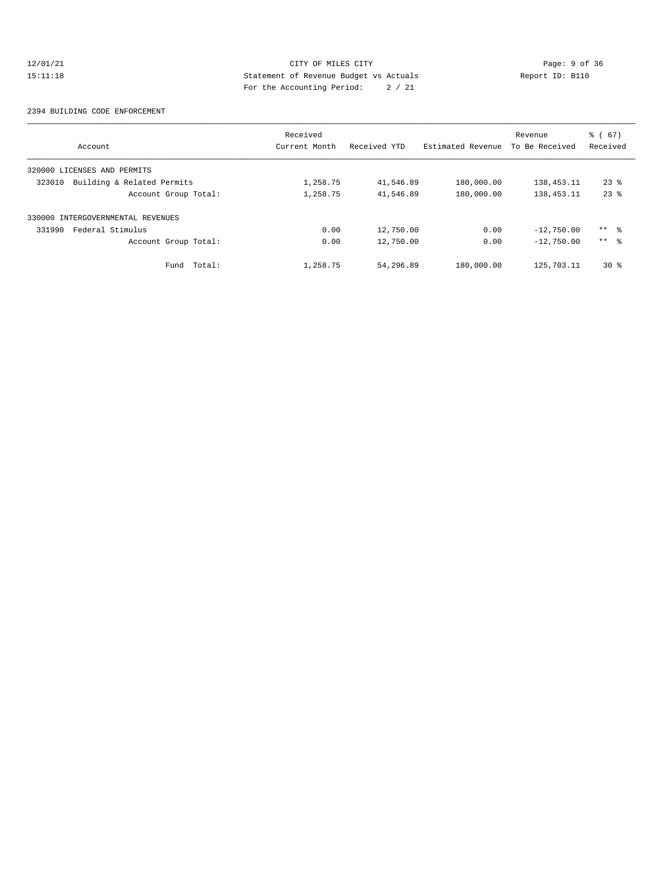## 12/01/21 CITY OF MILES CITY CHES CONTRIBUTE CONTRIBUTE CONTRIBUTE CONTRIBUTE CONTRIBUTE CONTRIBUTE CONTRIBUTE<br>15:11:18 CHES Statement of Revenue Budget vs Actuals Report ID: B110 15:11:18 Statement of Revenue Budget vs Actuals Report ID: B110 For the Accounting Period: 2 / 21

#### 2394 BUILDING CODE ENFORCEMENT

|                                      | Received      |              |                   | Revenue        | $\frac{3}{6}$ (67) |
|--------------------------------------|---------------|--------------|-------------------|----------------|--------------------|
| Account                              | Current Month | Received YTD | Estimated Revenue | To Be Received | Received           |
| 320000 LICENSES AND PERMITS          |               |              |                   |                |                    |
| Building & Related Permits<br>323010 | 1,258.75      | 41,546.89    | 180,000.00        | 138, 453. 11   | $23*$              |
| Account Group Total:                 | 1,258.75      | 41,546.89    | 180,000.00        | 138, 453. 11   | $23$ $%$           |
| 330000 INTERGOVERNMENTAL REVENUES    |               |              |                   |                |                    |
| Federal Stimulus<br>331990           | 0.00          | 12,750.00    | 0.00              | $-12,750.00$   | ** 응               |
| Account Group Total:                 | 0.00          | 12,750.00    | 0.00              | $-12,750.00$   | $***$ $\approx$    |
| Fund Total:                          | 1,258.75      | 54,296.89    | 180,000.00        | 125,703.11     | $30*$              |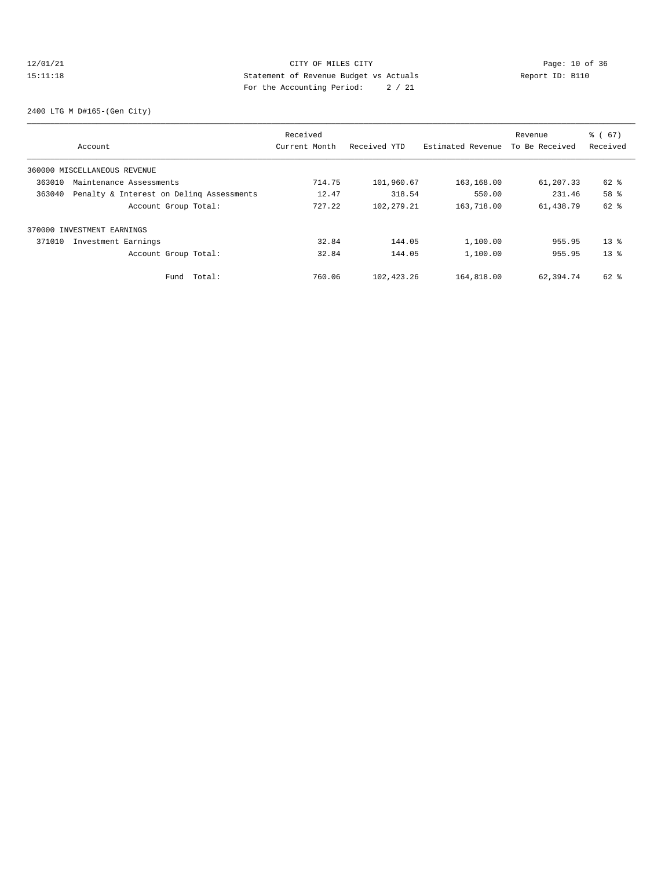## 12/01/21 Page: 10 of 36 CITY OF MILES CITY CHANGES CONTROL PAGE: 10 of 36 15:11:18 Statement of Revenue Budget vs Actuals Report ID: B110 For the Accounting Period: 2 / 21

2400 LTG M D#165-(Gen City)

| Account                                            | Received<br>Current Month | Received YTD | Estimated Revenue | Revenue<br>To Be Received | $\frac{3}{6}$ (67)<br>Received |
|----------------------------------------------------|---------------------------|--------------|-------------------|---------------------------|--------------------------------|
| 360000 MISCELLANEOUS REVENUE                       |                           |              |                   |                           |                                |
| 363010<br>Maintenance Assessments                  | 714.75                    | 101,960.67   | 163,168.00        | 61,207.33                 | 62 %                           |
| 363040<br>Penalty & Interest on Deling Assessments | 12.47                     | 318.54       | 550.00            | 231.46                    | 58 %                           |
| Account Group Total:                               | 727.22                    | 102, 279. 21 | 163,718.00        | 61,438.79                 | 62 %                           |
| 370000 INVESTMENT EARNINGS                         |                           |              |                   |                           |                                |
| Investment Earnings<br>371010                      | 32.84                     | 144.05       | 1,100.00          | 955.95                    | $13*$                          |
| Account Group Total:                               | 32.84                     | 144.05       | 1,100.00          | 955.95                    | $13*$                          |
| Total:<br>Fund                                     | 760.06                    | 102,423.26   | 164,818.00        | 62,394.74                 | 62 %                           |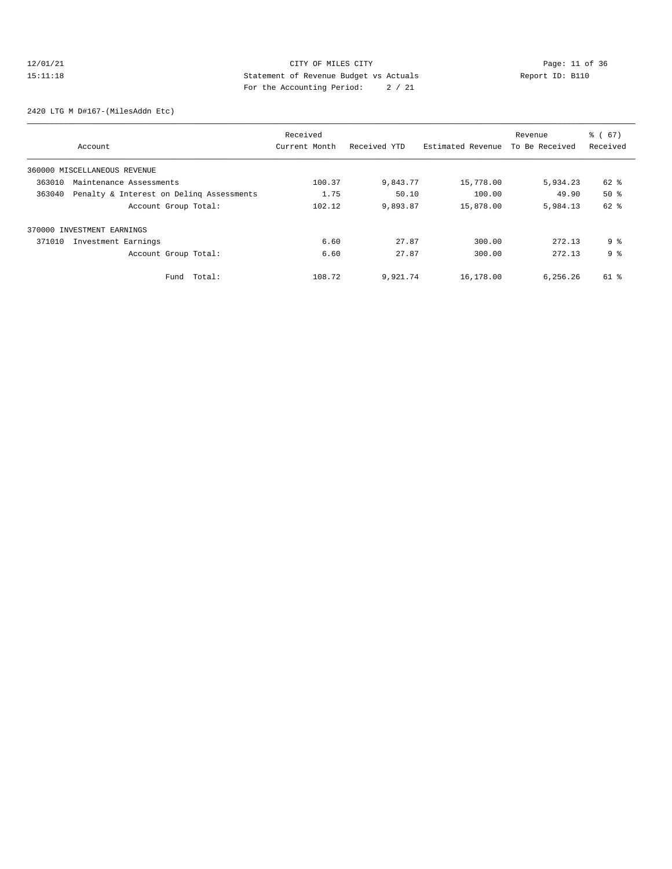# 12/01/21 Page: 11 of 36 CITY OF MILES CITY 15:11:18 Statement of Revenue Budget vs Actuals Report ID: B110 For the Accounting Period: 2 / 21

2420 LTG M D#167-(MilesAddn Etc)

| Account                                            | Received<br>Current Month | Received YTD | Estimated Revenue | Revenue<br>To Be Received | $\frac{3}{6}$ (67)<br>Received |
|----------------------------------------------------|---------------------------|--------------|-------------------|---------------------------|--------------------------------|
| 360000 MISCELLANEOUS REVENUE                       |                           |              |                   |                           |                                |
| 363010<br>Maintenance Assessments                  | 100.37                    | 9,843.77     | 15,778.00         | 5,934.23                  | 62 %                           |
| 363040<br>Penalty & Interest on Deling Assessments | 1.75                      | 50.10        | 100.00            | 49.90                     | $50*$                          |
| Account Group Total:                               | 102.12                    | 9,893.87     | 15,878.00         | 5,984.13                  | 62 %                           |
| 370000 INVESTMENT EARNINGS                         |                           |              |                   |                           |                                |
| Investment Earnings<br>371010                      | 6.60                      | 27.87        | 300.00            | 272.13                    | 9 <sup>8</sup>                 |
| Account Group Total:                               | 6.60                      | 27.87        | 300.00            | 272.13                    | 9 <sup>8</sup>                 |
| Total:<br>Fund                                     | 108.72                    | 9,921.74     | 16,178.00         | 6,256.26                  | 61 %                           |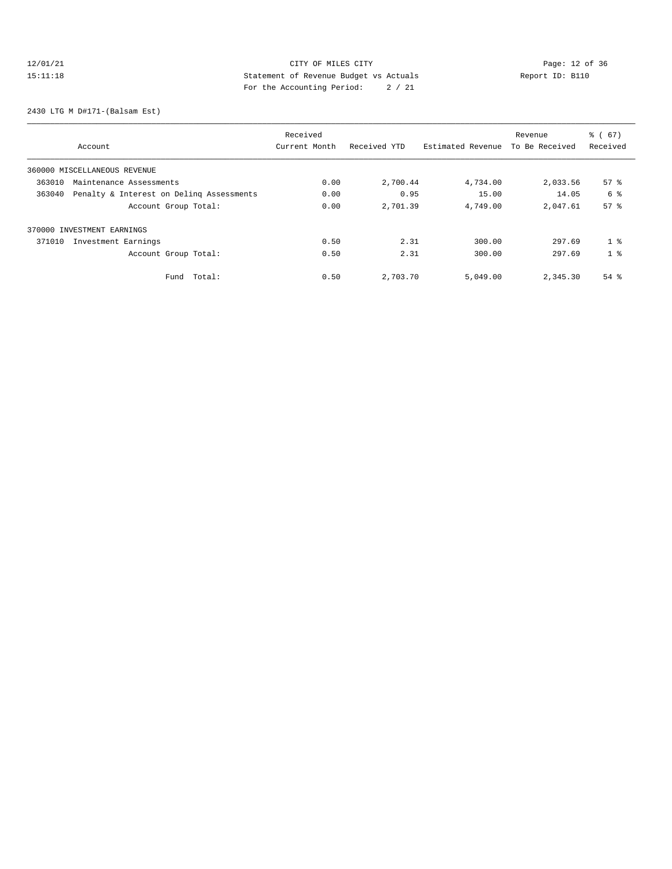# 12/01/21 Page: 12 of 36 CITY OF MILES CITY CHANGES CONTROL PAGE: 12 of 36 15:11:18 Statement of Revenue Budget vs Actuals Report ID: B110 For the Accounting Period: 2 / 21

2430 LTG M D#171-(Balsam Est)

| Account                                            | Received<br>Current Month | Received YTD | Estimated Revenue | Revenue<br>To Be Received | $\frac{3}{6}$ (67)<br>Received |
|----------------------------------------------------|---------------------------|--------------|-------------------|---------------------------|--------------------------------|
| 360000 MISCELLANEOUS REVENUE                       |                           |              |                   |                           |                                |
| 363010<br>Maintenance Assessments                  | 0.00                      | 2,700.44     | 4,734.00          | 2,033.56                  | $57*$                          |
| 363040<br>Penalty & Interest on Deling Assessments | 0.00                      | 0.95         | 15.00             | 14.05                     | 6 %                            |
| Account Group Total:                               | 0.00                      | 2,701.39     | 4,749.00          | 2,047.61                  | 57 <sup>8</sup>                |
| 370000 INVESTMENT EARNINGS                         |                           |              |                   |                           |                                |
| 371010<br>Investment Earnings                      | 0.50                      | 2.31         | 300.00            | 297.69                    | 1 <sup>8</sup>                 |
| Account Group Total:                               | 0.50                      | 2.31         | 300.00            | 297.69                    | 1 <sup>8</sup>                 |
| Total:<br>Fund                                     | 0.50                      | 2,703.70     | 5,049.00          | 2,345.30                  | $54$ $\frac{6}{3}$             |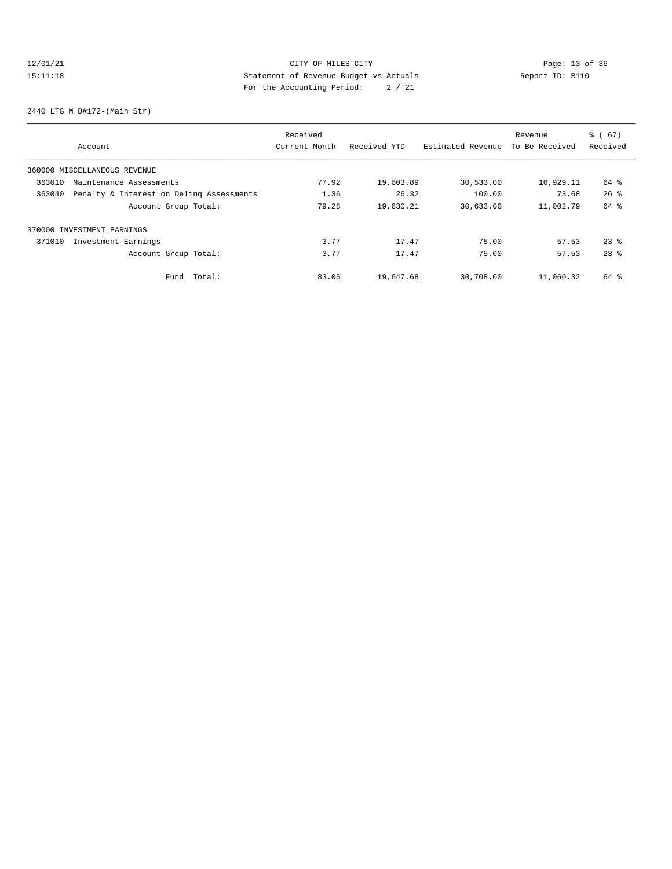# 12/01/21 Page: 13 of 36 Page: 13 of 36 Page: 13 Of 36 Page: 13 Of 36 Page: 13 Of 36 15:11:18 Statement of Revenue Budget vs Actuals Report ID: B110 For the Accounting Period: 2 / 21

2440 LTG M D#172-(Main Str)

| Account                                            | Received<br>Current Month | Received YTD | Estimated Revenue | Revenue<br>To Be Received | $\frac{3}{6}$ (67)<br>Received |
|----------------------------------------------------|---------------------------|--------------|-------------------|---------------------------|--------------------------------|
| 360000 MISCELLANEOUS REVENUE                       |                           |              |                   |                           |                                |
| 363010<br>Maintenance Assessments                  | 77.92                     | 19,603.89    | 30,533.00         | 10,929.11                 | 64 %                           |
| 363040<br>Penalty & Interest on Deling Assessments | 1.36                      | 26.32        | 100.00            | 73.68                     | $26$ $%$                       |
| Account Group Total:                               | 79.28                     | 19,630.21    | 30,633.00         | 11,002.79                 | 64 %                           |
| 370000 INVESTMENT EARNINGS                         |                           |              |                   |                           |                                |
| Investment Earnings<br>371010                      | 3.77                      | 17.47        | 75.00             | 57.53                     | $23$ $%$                       |
| Account Group Total:                               | 3.77                      | 17.47        | 75.00             | 57.53                     | $23$ $%$                       |
| Total:<br>Fund                                     | 83.05                     | 19,647.68    | 30,708.00         | 11,060.32                 | $64$ $\frac{6}{3}$             |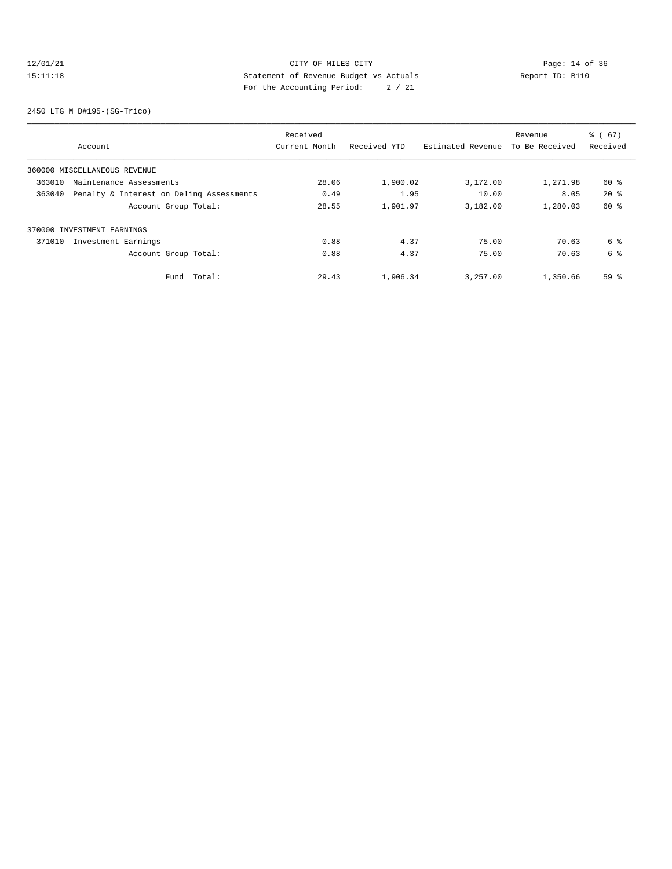# 12/01/21 Page: 14 of 36 15:11:18 Statement of Revenue Budget vs Actuals Report ID: B110 For the Accounting Period: 2 / 21

2450 LTG M D#195-(SG-Trico)

| Account                                            |                      | Received<br>Current Month | Received YTD | Estimated Revenue | Revenue<br>To Be Received | $\frac{3}{6}$ (67)<br>Received |
|----------------------------------------------------|----------------------|---------------------------|--------------|-------------------|---------------------------|--------------------------------|
| 360000 MISCELLANEOUS REVENUE                       |                      |                           |              |                   |                           |                                |
| 363010<br>Maintenance Assessments                  |                      | 28.06                     | 1,900.02     | 3,172.00          | 1,271.98                  | 60 %                           |
| Penalty & Interest on Deling Assessments<br>363040 |                      | 0.49                      | 1.95         | 10.00             | 8.05                      | $20*$                          |
|                                                    | Account Group Total: | 28.55                     | 1,901.97     | 3,182.00          | 1,280.03                  | 60 %                           |
| 370000 INVESTMENT EARNINGS                         |                      |                           |              |                   |                           |                                |
| Investment Earnings<br>371010                      |                      | 0.88                      | 4.37         | 75.00             | 70.63                     | 6 %                            |
|                                                    | Account Group Total: | 0.88                      | 4.37         | 75.00             | 70.63                     | 6 %                            |
|                                                    | Total:<br>Fund       | 29.43                     | 1,906.34     | 3,257.00          | 1,350.66                  | 59 %                           |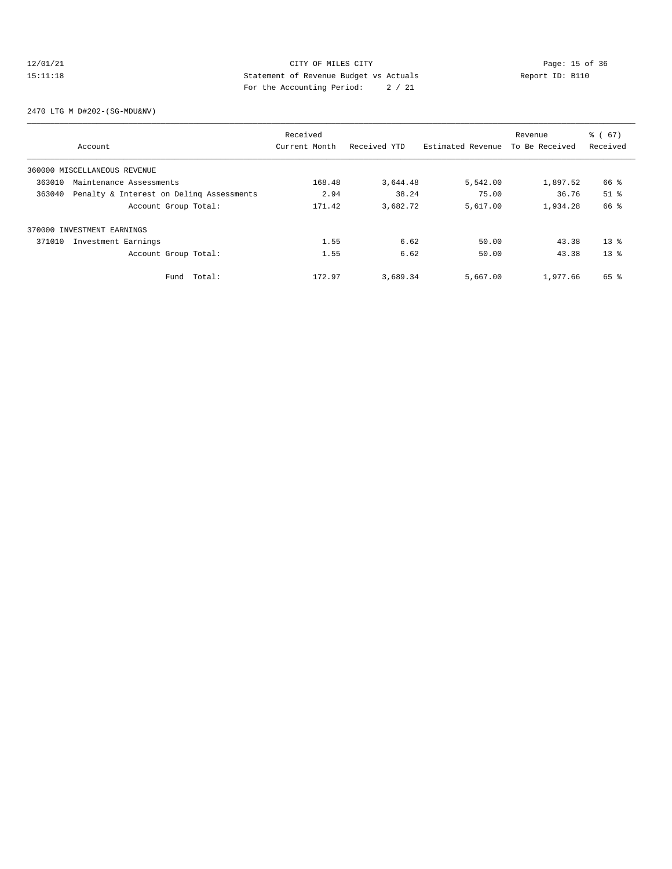## 12/01/21 CITY OF MILES CITY<br>15:11:18 Deport ID: Bl10<br>15:11:18 Deport ID: Note and Statement of Revenue Budget vs Actuals<br>15:11:18 15:11:18 Statement of Revenue Budget vs Actuals Report ID: B110 For the Accounting Period: 2 / 21

2470 LTG M D#202-(SG-MDU&NV)

| Account                                            | Received<br>Current Month | Received YTD | Estimated Revenue | Revenue<br>To Be Received | $\frac{3}{6}$ (67)<br>Received |
|----------------------------------------------------|---------------------------|--------------|-------------------|---------------------------|--------------------------------|
|                                                    |                           |              |                   |                           |                                |
| 360000 MISCELLANEOUS REVENUE                       |                           |              |                   |                           |                                |
| 363010<br>Maintenance Assessments                  | 168.48                    | 3,644.48     | 5,542.00          | 1,897.52                  | 66 %                           |
| Penalty & Interest on Deling Assessments<br>363040 | 2.94                      | 38.24        | 75.00             | 36.76                     | $51$ %                         |
| Account Group Total:                               | 171.42                    | 3,682.72     | 5,617.00          | 1,934.28                  | 66 %                           |
| 370000 INVESTMENT EARNINGS                         |                           |              |                   |                           |                                |
| 371010<br>Investment Earnings                      | 1.55                      | 6.62         | 50.00             | 43.38                     | $13*$                          |
| Account Group Total:                               | 1.55                      | 6.62         | 50.00             | 43.38                     | $13*$                          |
| Fund Total:                                        | 172.97                    | 3,689.34     | 5,667.00          | 1,977.66                  | 65 %                           |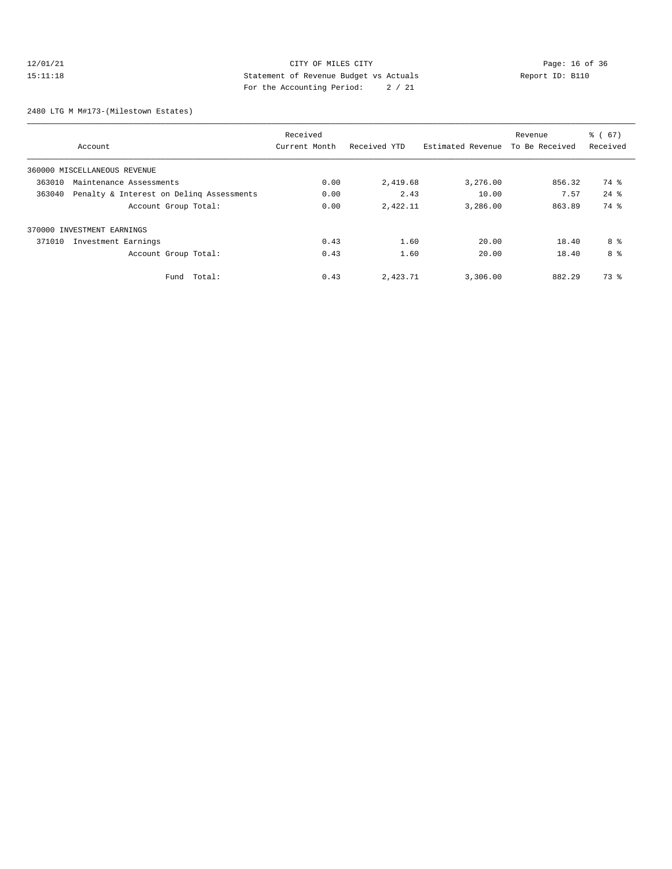## 12/01/21 Page: 16 of 36 CITY OF MILES CITY 15:11:18 Statement of Revenue Budget vs Actuals Report ID: B110 For the Accounting Period: 2 / 21

2480 LTG M M#173-(Milestown Estates)

|        | Account                                  | Received<br>Current Month | Received YTD | Estimated Revenue | Revenue<br>To Be Received | $\frac{1}{6}$ (67)<br>Received |
|--------|------------------------------------------|---------------------------|--------------|-------------------|---------------------------|--------------------------------|
|        | 360000 MISCELLANEOUS REVENUE             |                           |              |                   |                           |                                |
| 363010 | Maintenance Assessments                  | 0.00                      | 2,419.68     | 3,276.00          | 856.32                    | 74 %                           |
| 363040 | Penalty & Interest on Deling Assessments | 0.00                      | 2.43         | 10.00             | 7.57                      | $24$ $%$                       |
|        | Account Group Total:                     | 0.00                      | 2,422.11     | 3,286.00          | 863.89                    | 74 %                           |
|        | 370000 INVESTMENT EARNINGS               |                           |              |                   |                           |                                |
| 371010 | Investment Earnings                      | 0.43                      | 1.60         | 20.00             | 18.40                     | 8 %                            |
|        | Account Group Total:                     | 0.43                      | 1.60         | 20.00             | 18.40                     | 8 %                            |
|        | Total:<br>Fund                           | 0.43                      | 2,423.71     | 3,306.00          | 882.29                    | 73 %                           |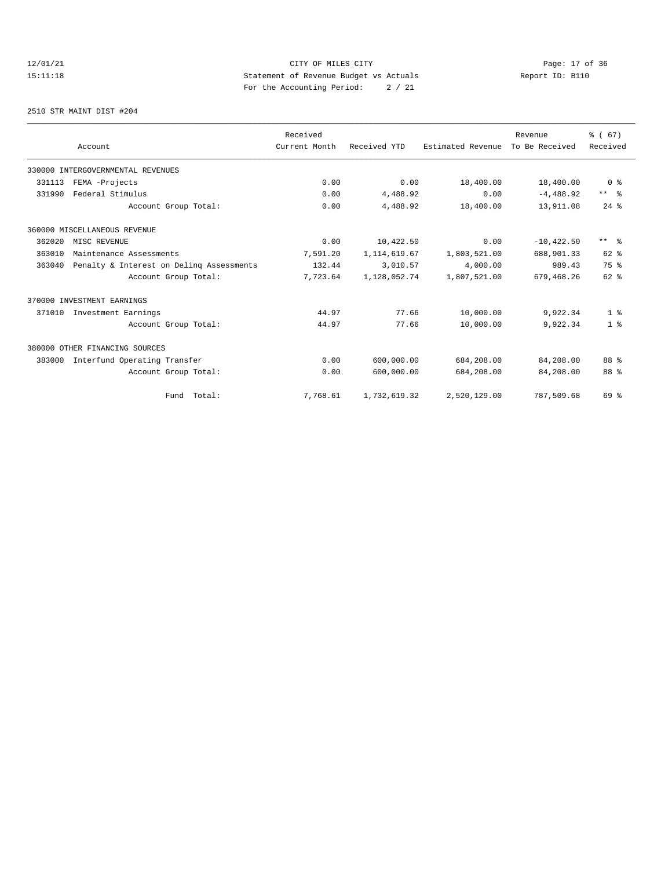# 12/01/21 Page: 17 of 36 15:11:18 Statement of Revenue Budget vs Actuals Report ID: B110 For the Accounting Period: 2 / 21

2510 STR MAINT DIST #204

|        |                                          | Received      |                |                   | Revenue        | % (67)         |
|--------|------------------------------------------|---------------|----------------|-------------------|----------------|----------------|
|        | Account                                  | Current Month | Received YTD   | Estimated Revenue | To Be Received | Received       |
|        | 330000 INTERGOVERNMENTAL REVENUES        |               |                |                   |                |                |
| 331113 | FEMA -Projects                           | 0.00          | 0.00           | 18,400.00         | 18,400.00      | 0 <sup>8</sup> |
| 331990 | Federal Stimulus                         | 0.00          | 4,488.92       | 0.00              | $-4,488.92$    | $***$ $ -$     |
|        | Account Group Total:                     | 0.00          | 4,488.92       | 18,400.00         | 13,911.08      | $24$ %         |
|        | 360000 MISCELLANEOUS REVENUE             |               |                |                   |                |                |
| 362020 | MISC REVENUE                             | 0.00          | 10,422.50      | 0.00              | $-10.422.50$   | $***$ $ -$     |
| 363010 | Maintenance Assessments                  | 7,591.20      | 1, 114, 619.67 | 1,803,521.00      | 688,901.33     | $62$ $%$       |
| 363040 | Penalty & Interest on Deling Assessments | 132.44        | 3,010.57       | 4,000.00          | 989.43         | 75 %           |
|        | Account Group Total:                     | 7,723.64      | 1,128,052.74   | 1,807,521.00      | 679,468.26     | $62$ $%$       |
|        | 370000 INVESTMENT EARNINGS               |               |                |                   |                |                |
| 371010 | Investment Earnings                      | 44.97         | 77.66          | 10,000.00         | 9,922.34       | 1 <sup>8</sup> |
|        | Account Group Total:                     | 44.97         | 77.66          | 10,000.00         | 9,922.34       | 1 <sup>8</sup> |
|        | 380000 OTHER FINANCING SOURCES           |               |                |                   |                |                |
| 383000 | Interfund Operating Transfer             | 0.00          | 600,000.00     | 684,208.00        | 84,208.00      | 88 %           |
|        | Account Group Total:                     | 0.00          | 600,000.00     | 684,208.00        | 84,208.00      | 88 %           |
|        | Fund Total:                              | 7,768.61      | 1,732,619.32   | 2,520,129.00      | 787,509.68     | 69 %           |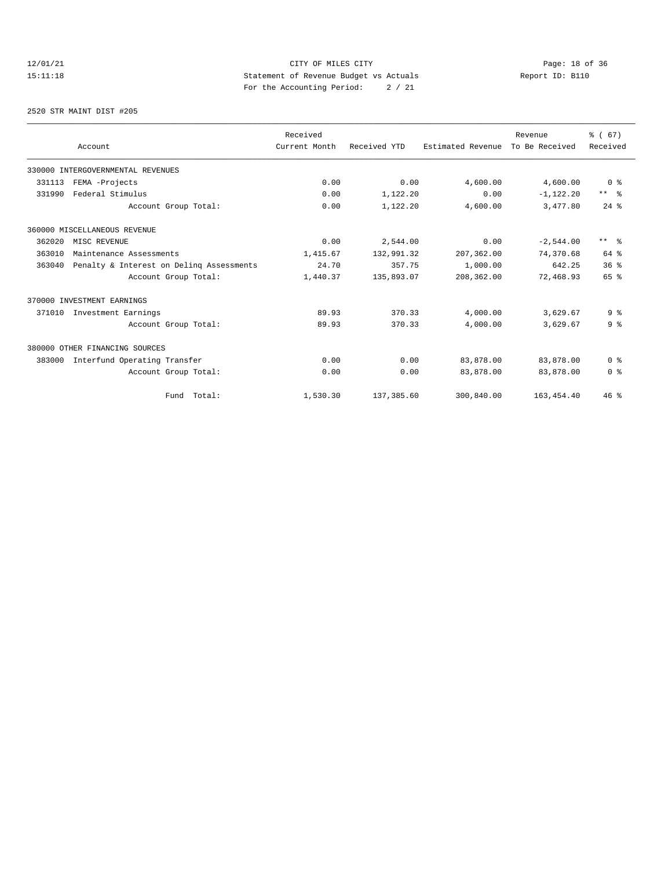# 12/01/21 Page: 18 of 36 15:11:18 Statement of Revenue Budget vs Actuals Report ID: B110 For the Accounting Period: 2 / 21

2520 STR MAINT DIST #205

|                                                    | Received      |              |                   | Revenue        | % (67)                  |
|----------------------------------------------------|---------------|--------------|-------------------|----------------|-------------------------|
| Account                                            | Current Month | Received YTD | Estimated Revenue | To Be Received | Received                |
| 330000 INTERGOVERNMENTAL REVENUES                  |               |              |                   |                |                         |
| 331113<br>FEMA -Projects                           | 0.00          | 0.00         | 4,600.00          | 4,600.00       | 0 <sup>8</sup>          |
| Federal Stimulus<br>331990                         | 0.00          | 1,122.20     | 0.00              | $-1, 122.20$   | $***$ $ -$              |
| Account Group Total:                               | 0.00          | 1,122.20     | 4,600.00          | 3,477.80       | $24$ $%$                |
| 360000 MISCELLANEOUS REVENUE                       |               |              |                   |                |                         |
| 362020<br>MISC REVENUE                             | 0.00          | 2,544.00     | 0.00              | $-2,544.00$    | $***$ $=$ $\frac{6}{5}$ |
| 363010<br>Maintenance Assessments                  | 1,415.67      | 132,991.32   | 207,362.00        | 74,370.68      | 64 %                    |
| 363040<br>Penalty & Interest on Deling Assessments | 24.70         | 357.75       | 1,000.00          | 642.25         | 36%                     |
| Account Group Total:                               | 1,440.37      | 135,893.07   | 208,362.00        | 72,468.93      | 65 %                    |
| 370000 INVESTMENT EARNINGS                         |               |              |                   |                |                         |
| 371010<br>Investment Earnings                      | 89.93         | 370.33       | 4,000.00          | 3,629.67       | 9 <sup>8</sup>          |
| Account Group Total:                               | 89.93         | 370.33       | 4,000.00          | 3,629.67       | 9 <sup>8</sup>          |
| 380000 OTHER FINANCING SOURCES                     |               |              |                   |                |                         |
| Interfund Operating Transfer<br>383000             | 0.00          | 0.00         | 83,878.00         | 83,878.00      | 0 <sup>8</sup>          |
| Account Group Total:                               | 0.00          | 0.00         | 83,878.00         | 83,878.00      | 0 <sup>8</sup>          |
| Fund Total:                                        | 1,530.30      | 137,385.60   | 300,840.00        | 163, 454.40    | 46%                     |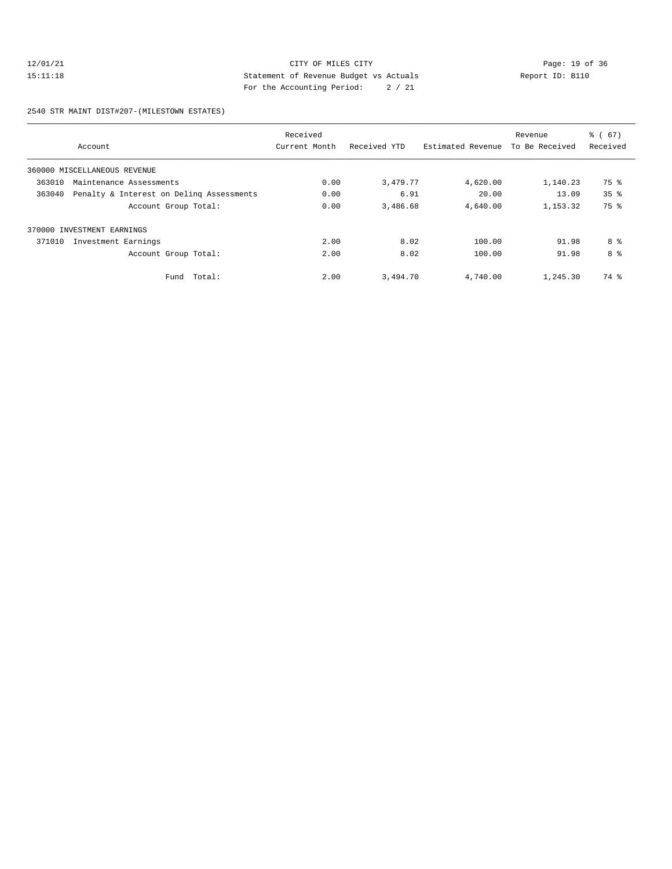## 12/01/21 Page: 19 of 36 CITY OF MILES CITY CHANGES CONTROL PAGE: 19 of 36 15:11:18 Statement of Revenue Budget vs Actuals Report ID: B110 For the Accounting Period: 2 / 21

2540 STR MAINT DIST#207-(MILESTOWN ESTATES)

|                                                    | Received      |              |                   | Revenue        | $\frac{3}{6}$ (67) |
|----------------------------------------------------|---------------|--------------|-------------------|----------------|--------------------|
| Account                                            | Current Month | Received YTD | Estimated Revenue | To Be Received | Received           |
| 360000 MISCELLANEOUS REVENUE                       |               |              |                   |                |                    |
| 363010<br>Maintenance Assessments                  | 0.00          | 3,479.77     | 4,620.00          | 1,140.23       | 75 %               |
| 363040<br>Penalty & Interest on Deling Assessments | 0.00          | 6.91         | 20.00             | 13.09          | 35 <sup>8</sup>    |
| Account Group Total:                               | 0.00          | 3,486.68     | 4,640.00          | 1, 153, 32     | 75 %               |
| 370000 INVESTMENT EARNINGS                         |               |              |                   |                |                    |
| 371010<br>Investment Earnings                      | 2.00          | 8.02         | 100.00            | 91.98          | 8 %                |
| Account Group Total:                               | 2.00          | 8.02         | 100.00            | 91.98          | 8 %                |
| Total:<br>Fund                                     | 2.00          | 3,494.70     | 4,740.00          | 1,245.30       | 74 %               |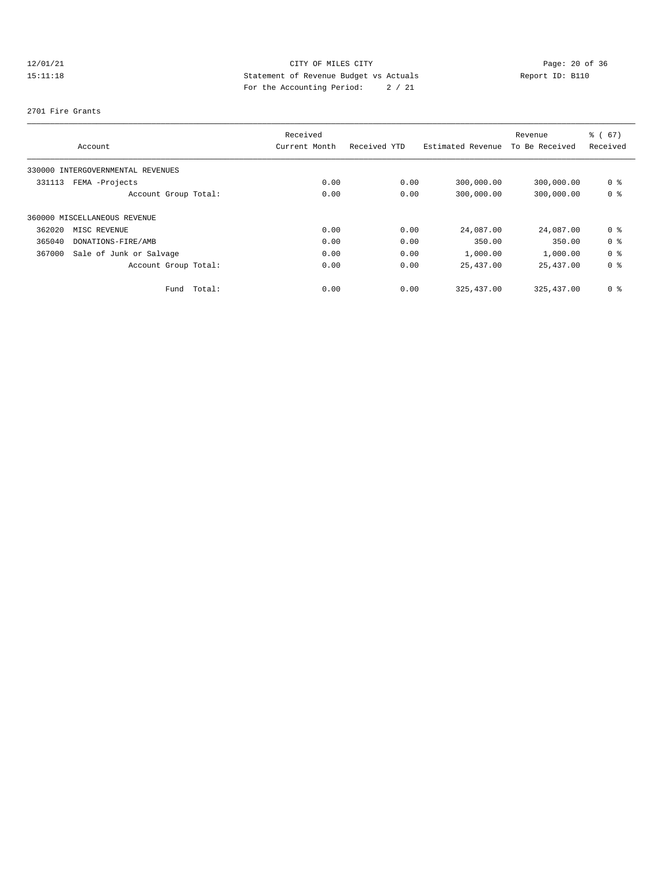# 12/01/21 Page: 20 of 36 15:11:18 Statement of Revenue Budget vs Actuals Report ID: B110 For the Accounting Period: 2 / 21

#### 2701 Fire Grants

|                                   |                         | Received      |              |                   | Revenue        | % (67)         |
|-----------------------------------|-------------------------|---------------|--------------|-------------------|----------------|----------------|
| Account                           |                         | Current Month | Received YTD | Estimated Revenue | To Be Received | Received       |
| 330000 INTERGOVERNMENTAL REVENUES |                         |               |              |                   |                |                |
| FEMA -Projects<br>331113          |                         | 0.00          | 0.00         | 300,000.00        | 300,000.00     | 0 %            |
|                                   | Account Group Total:    | 0.00          | 0.00         | 300,000.00        | 300,000.00     | 0 %            |
| 360000 MISCELLANEOUS REVENUE      |                         |               |              |                   |                |                |
| 362020<br>MISC REVENUE            |                         | 0.00          | 0.00         | 24,087.00         | 24,087.00      | 0 %            |
| 365040                            | DONATIONS-FIRE/AMB      | 0.00          | 0.00         | 350.00            | 350.00         | 0 %            |
| 367000                            | Sale of Junk or Salvage | 0.00          | 0.00         | 1,000.00          | 1,000.00       | 0 <sup>8</sup> |
|                                   | Account Group Total:    | 0.00          | 0.00         | 25,437.00         | 25,437.00      | 0 %            |
|                                   | Fund Total:             | 0.00          | 0.00         | 325, 437, 00      | 325, 437, 00   | 0 %            |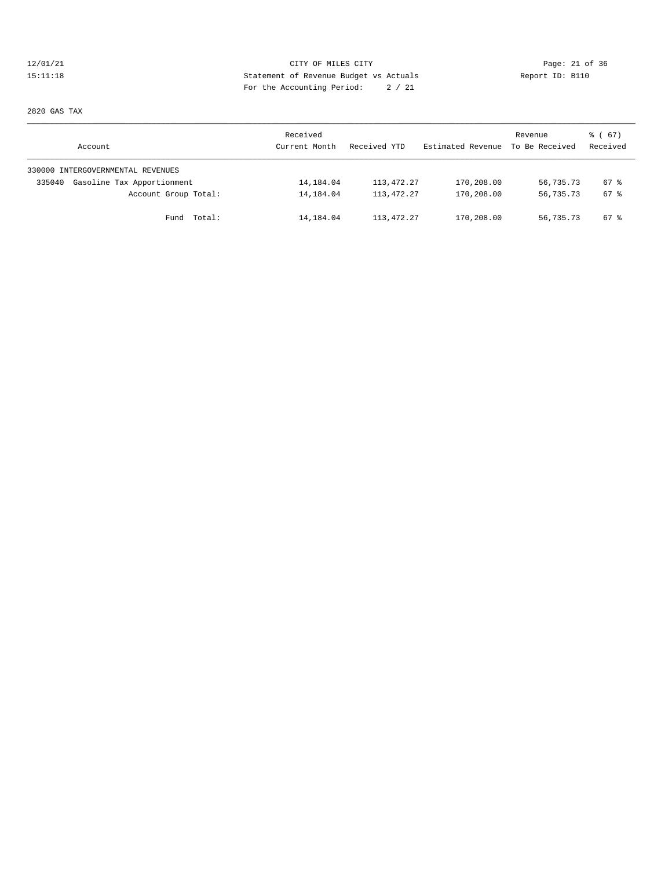## 12/01/21 Page: 21 of 36 Page: 21 of 36 Page: 21 of 36 Page: 21 of 36 Page: 21 of 36 15:11:18 Statement of Revenue Budget vs Actuals Report ID: B110 For the Accounting Period: 2 / 21

2820 GAS TAX

| Account                              | Received<br>Current Month | Received YTD | Estimated Revenue | Revenue<br>To Be Received | 8 ( 67 )<br>Received |
|--------------------------------------|---------------------------|--------------|-------------------|---------------------------|----------------------|
| 330000 INTERGOVERNMENTAL REVENUES    |                           |              |                   |                           |                      |
| Gasoline Tax Apportionment<br>335040 | 14,184.04                 | 113, 472. 27 | 170,208.00        | 56,735.73                 | 67 %                 |
| Account Group Total:                 | 14,184.04                 | 113, 472. 27 | 170,208.00        | 56,735.73                 | 67 %                 |
| Fund Total:                          | 14,184.04                 | 113,472.27   | 170,208.00        | 56,735.73                 | 67 %                 |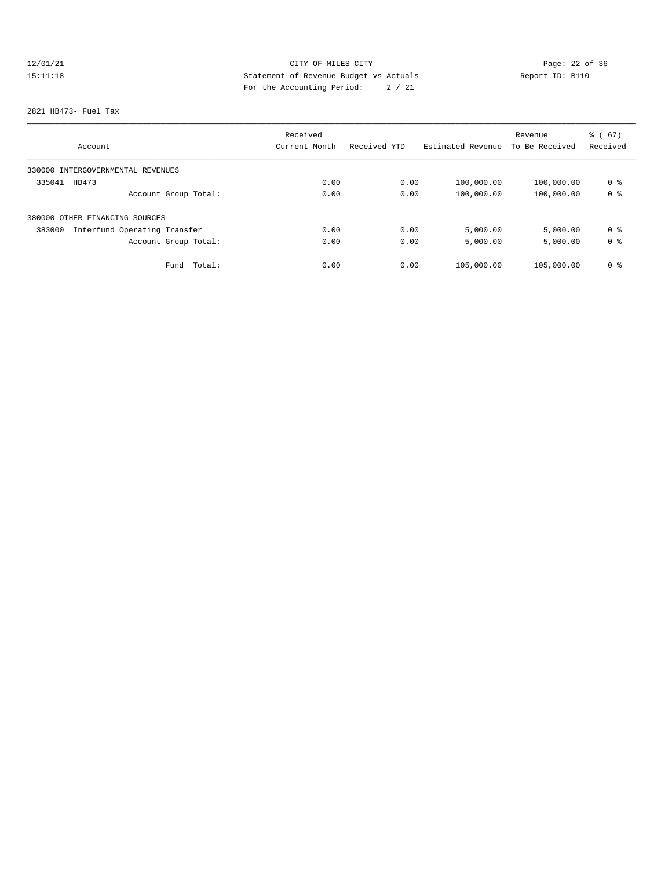# 12/01/21 Page: 22 of 36 15:11:18 Statement of Revenue Budget vs Actuals Report ID: B110 For the Accounting Period: 2 / 21

#### 2821 HB473- Fuel Tax

|                                        | Received      |              | Revenue           |                | $\frac{3}{6}$ (67) |  |
|----------------------------------------|---------------|--------------|-------------------|----------------|--------------------|--|
| Account                                | Current Month | Received YTD | Estimated Revenue | To Be Received | Received           |  |
| 330000 INTERGOVERNMENTAL REVENUES      |               |              |                   |                |                    |  |
| 335041<br>HB473                        | 0.00          | 0.00         | 100,000.00        | 100,000.00     | 0 %                |  |
| Account Group Total:                   | 0.00          | 0.00         | 100,000.00        | 100,000.00     | 0 <sup>8</sup>     |  |
| 380000 OTHER FINANCING SOURCES         |               |              |                   |                |                    |  |
| Interfund Operating Transfer<br>383000 | 0.00          | 0.00         | 5,000.00          | 5,000.00       | 0 %                |  |
| Account Group Total:                   | 0.00          | 0.00         | 5,000.00          | 5,000.00       | 0 %                |  |
| Total:<br>Fund                         | 0.00          | 0.00         | 105,000.00        | 105,000.00     | 0 %                |  |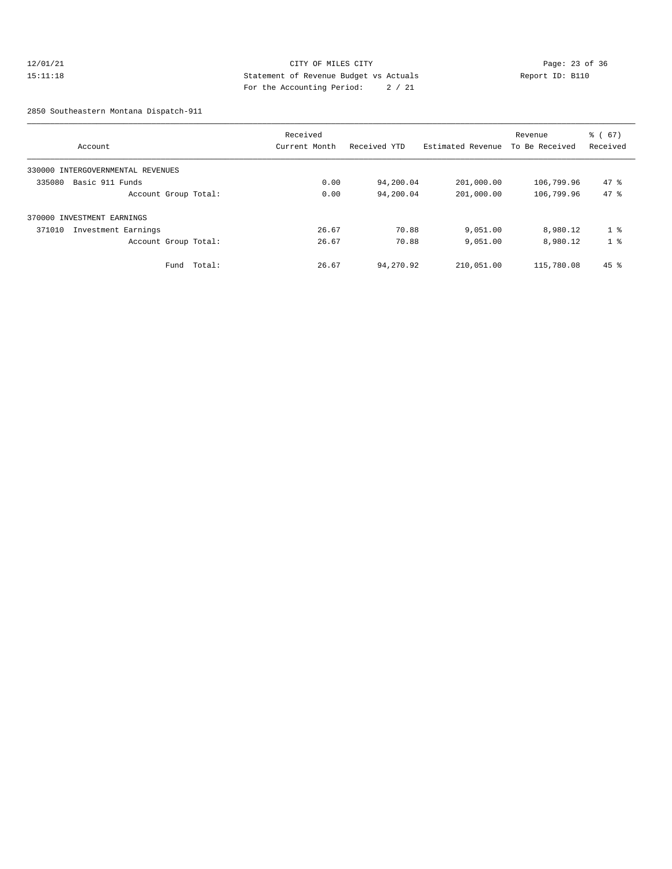## 12/01/21 Page: 23 of 36 15:11:18 Statement of Revenue Budget vs Actuals Report ID: B110 For the Accounting Period: 2 / 21

2850 Southeastern Montana Dispatch-911

|                                   |        | Received      |              | Revenue           |                | $\frac{3}{6}$ (67) |
|-----------------------------------|--------|---------------|--------------|-------------------|----------------|--------------------|
| Account                           |        | Current Month | Received YTD | Estimated Revenue | To Be Received | Received           |
| 330000 INTERGOVERNMENTAL REVENUES |        |               |              |                   |                |                    |
| Basic 911 Funds<br>335080         |        | 0.00          | 94,200.04    | 201,000.00        | 106,799.96     | $47*$              |
| Account Group Total:              |        | 0.00          | 94,200.04    | 201,000.00        | 106,799.96     | $47*$              |
| 370000 INVESTMENT EARNINGS        |        |               |              |                   |                |                    |
| 371010<br>Investment Earnings     |        | 26.67         | 70.88        | 9,051.00          | 8,980.12       | 1 <sup>8</sup>     |
| Account Group Total:              |        | 26.67         | 70.88        | 9,051.00          | 8,980.12       | 1 <sup>°</sup>     |
| Fund                              | Total: | 26.67         | 94,270.92    | 210,051.00        | 115,780.08     | $45$ %             |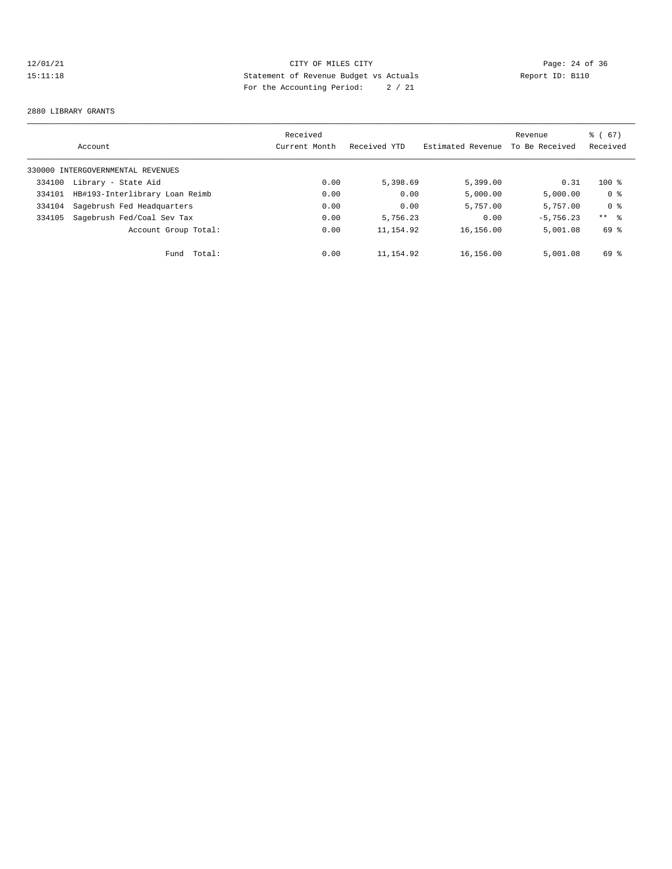# 12/01/21 Page: 24 of 36 15:11:18 Statement of Revenue Budget vs Actuals Report ID: B110 For the Accounting Period: 2 / 21

#### 2880 LIBRARY GRANTS

|        | Account                           | Received<br>Current Month | Received YTD | Estimated Revenue | Revenue<br>To Be Received | 8 ( 67)<br>Received |
|--------|-----------------------------------|---------------------------|--------------|-------------------|---------------------------|---------------------|
|        |                                   |                           |              |                   |                           |                     |
|        | 330000 INTERGOVERNMENTAL REVENUES |                           |              |                   |                           |                     |
| 334100 | Library - State Aid               | 0.00                      | 5,398.69     | 5,399.00          | 0.31                      | $100$ %             |
| 334101 | HB#193-Interlibrary Loan Reimb    | 0.00                      | 0.00         | 5,000.00          | 5,000.00                  | 0 %                 |
| 334104 | Sagebrush Fed Headquarters        | 0.00                      | 0.00         | 5,757.00          | 5,757.00                  | 0 <sup>8</sup>      |
| 334105 | Sagebrush Fed/Coal Sev Tax        | 0.00                      | 5,756.23     | 0.00              | $-5.756.23$               | $***$ $\frac{6}{6}$ |
|        | Account Group Total:              | 0.00                      | 11, 154.92   | 16,156.00         | 5,001.08                  | 69 %                |
|        | Fund Total:                       | 0.00                      | 11,154.92    | 16,156.00         | 5,001.08                  | 69 %                |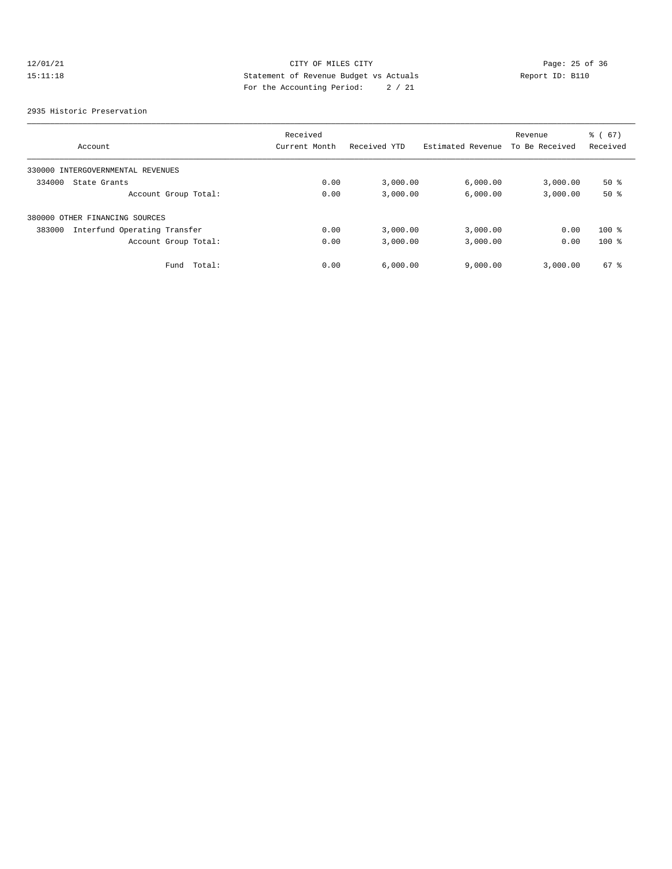# 12/01/21 Page: 25 of 36 Page: 25 of 36 Page: 25 of 36 Page: 25 of 36 Page: 25 of 36 15:11:18 Statement of Revenue Budget vs Actuals Report ID: B110 For the Accounting Period: 2 / 21

#### 2935 Historic Preservation

|                                        | Received      |              |                   | Revenue        | $\frac{3}{6}$ (67) |
|----------------------------------------|---------------|--------------|-------------------|----------------|--------------------|
| Account                                | Current Month | Received YTD | Estimated Revenue | To Be Received | Received           |
| 330000 INTERGOVERNMENTAL REVENUES      |               |              |                   |                |                    |
| 334000<br>State Grants                 | 0.00          | 3,000.00     | 6,000.00          | 3,000.00       | $50*$              |
| Account Group Total:                   | 0.00          | 3,000.00     | 6,000.00          | 3,000.00       | 50%                |
| 380000 OTHER FINANCING SOURCES         |               |              |                   |                |                    |
| Interfund Operating Transfer<br>383000 | 0.00          | 3,000.00     | 3,000.00          | 0.00           | $100$ %            |
| Account Group Total:                   | 0.00          | 3,000.00     | 3,000.00          | 0.00           | $100$ %            |
| Total:<br>Fund                         | 0.00          | 6.000.00     | 9,000.00          | 3,000.00       | $67*$              |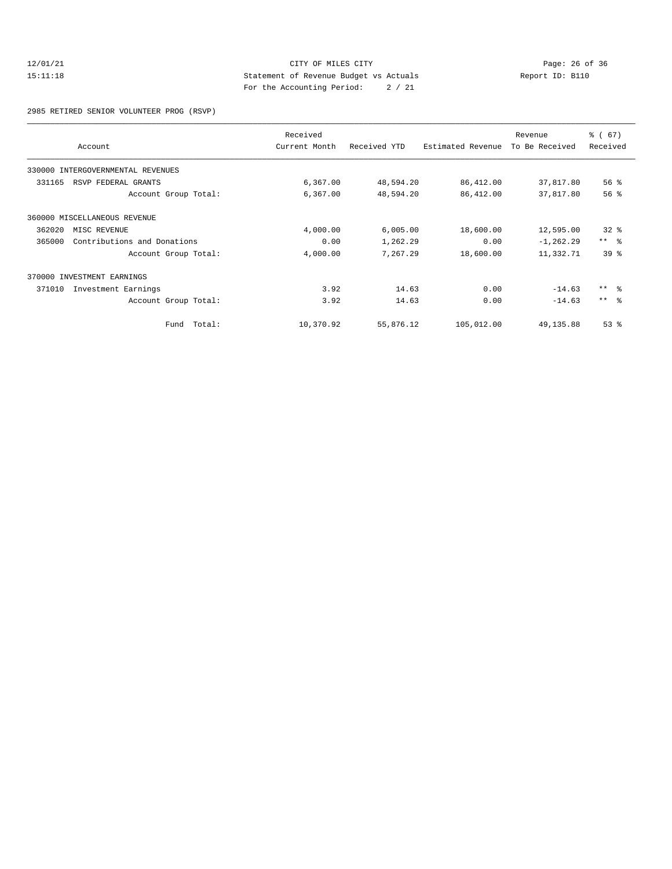## 12/01/21 CITY OF MILES CITY<br>15:11:18 Page: 26 of 36<br>15:11:18 Page: 26 of 36<br>15:11:18 Page: 26 of 36 15:11:18 Statement of Revenue Budget vs Actuals Report ID: B110 For the Accounting Period: 2 / 21

2985 RETIRED SENIOR VOLUNTEER PROG (RSVP)

|        | Account                           | Received<br>Current Month | Received YTD | Estimated Revenue | Revenue<br>To Be Received | $\frac{3}{6}$ (67)<br>Received |
|--------|-----------------------------------|---------------------------|--------------|-------------------|---------------------------|--------------------------------|
|        | 330000 INTERGOVERNMENTAL REVENUES |                           |              |                   |                           |                                |
| 331165 | RSVP FEDERAL GRANTS               | 6,367.00                  | 48,594.20    | 86,412.00         | 37,817.80                 | $56$ $\frac{6}{3}$             |
|        | Account Group Total:              | 6,367.00                  | 48,594.20    | 86,412.00         | 37,817.80                 | 56 <sup>8</sup>                |
|        | 360000 MISCELLANEOUS REVENUE      |                           |              |                   |                           |                                |
| 362020 | MISC REVENUE                      | 4,000.00                  | 6,005.00     | 18,600.00         | 12,595.00                 | $32*$                          |
| 365000 | Contributions and Donations       | 0.00                      | 1,262.29     | 0.00              | $-1, 262.29$              | $***$ $ -$                     |
|        | Account Group Total:              | 4,000.00                  | 7,267.29     | 18,600.00         | 11,332.71                 | 39 <sup>8</sup>                |
|        | 370000 INVESTMENT EARNINGS        |                           |              |                   |                           |                                |
| 371010 | Investment Earnings               | 3.92                      | 14.63        | 0.00              | $-14.63$                  | $***$ $=$ $\frac{6}{5}$        |
|        | Account Group Total:              | 3.92                      | 14.63        | 0.00              | $-14.63$                  | $***$ $=$                      |
|        | Fund Total:                       | 10,370.92                 | 55,876.12    | 105,012.00        | 49, 135.88                | $53$ $%$                       |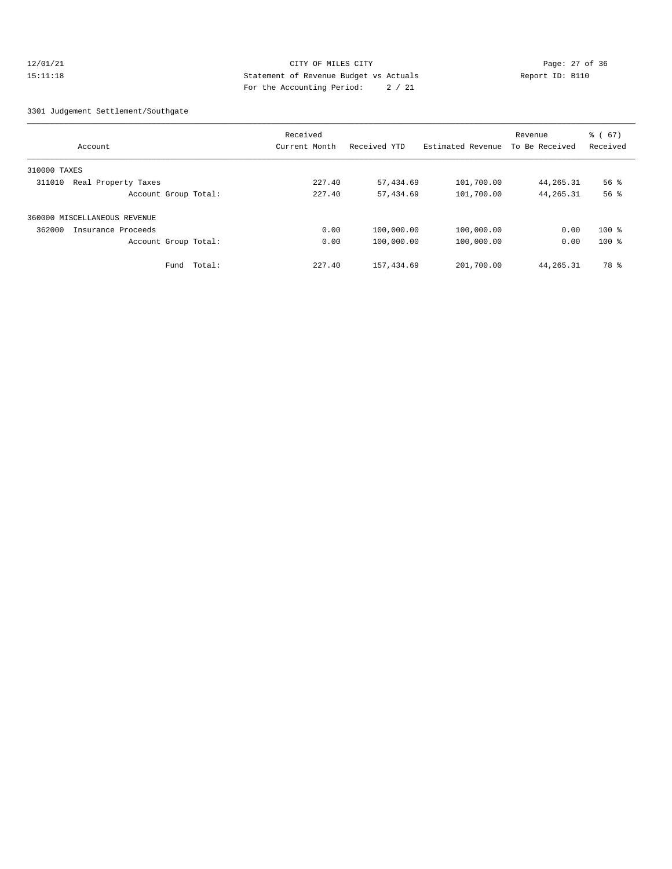## 12/01/21 Page: 27 of 36 Page: 27 of 36 Page: 27 of 36 Page: 27 of 36 Page: 27 of 36 15:11:18 Statement of Revenue Budget vs Actuals Report ID: B110 For the Accounting Period: 2 / 21

#### 3301 Judgement Settlement/Southgate

|                               |        | Received      |              |                   | Revenue        | $\frac{3}{6}$ (67) |
|-------------------------------|--------|---------------|--------------|-------------------|----------------|--------------------|
| Account                       |        | Current Month | Received YTD | Estimated Revenue | To Be Received | Received           |
| 310000 TAXES                  |        |               |              |                   |                |                    |
| Real Property Taxes<br>311010 |        | 227.40        | 57,434.69    | 101,700.00        | 44, 265. 31    | $56$ $\frac{6}{3}$ |
| Account Group Total:          |        | 227.40        | 57,434.69    | 101,700.00        | 44, 265. 31    | 56%                |
| 360000 MISCELLANEOUS REVENUE  |        |               |              |                   |                |                    |
| 362000<br>Insurance Proceeds  |        | 0.00          | 100,000.00   | 100,000.00        | 0.00           | $100$ %            |
| Account Group Total:          |        | 0.00          | 100,000.00   | 100,000.00        | 0.00           | $100$ %            |
| Fund                          | Total: | 227.40        | 157,434.69   | 201,700.00        | 44,265.31      | 78 %               |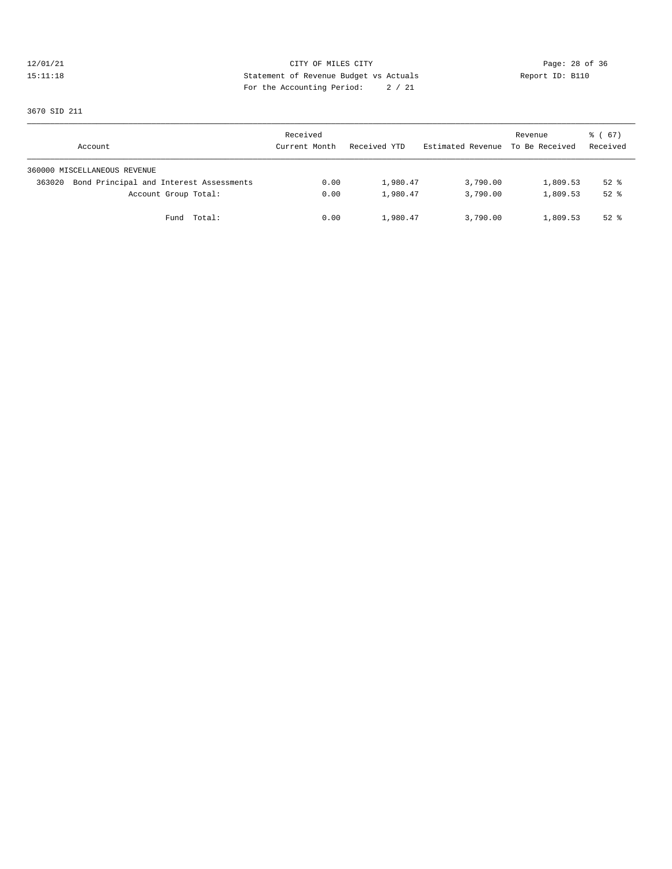## 12/01/21 CITY OF MILES CITY<br>15:11:18 Page: 28 of 36<br>15:11:18 CITY OF MILES CITY<br>15:11:18 Report ID: B110 15:11:18 Statement of Revenue Budget vs Actuals Report ID: B110 For the Accounting Period: 2 / 21

3670 SID 211

| Account                                           | Received<br>Current Month | Received YTD | Estimated Revenue To Be Received | Revenue  | 8 ( 67)<br>Received |
|---------------------------------------------------|---------------------------|--------------|----------------------------------|----------|---------------------|
| 360000 MISCELLANEOUS REVENUE                      |                           |              |                                  |          |                     |
| Bond Principal and Interest Assessments<br>363020 | 0.00                      | 1,980.47     | 3,790.00                         | 1,809.53 | $52$ $%$            |
| Account Group Total:                              | 0.00                      | 1,980.47     | 3,790.00                         | 1,809.53 | $52$ $%$            |
| Fund Total:                                       | 0.00                      | 1,980.47     | 3,790.00                         | 1,809.53 | $52$ $%$            |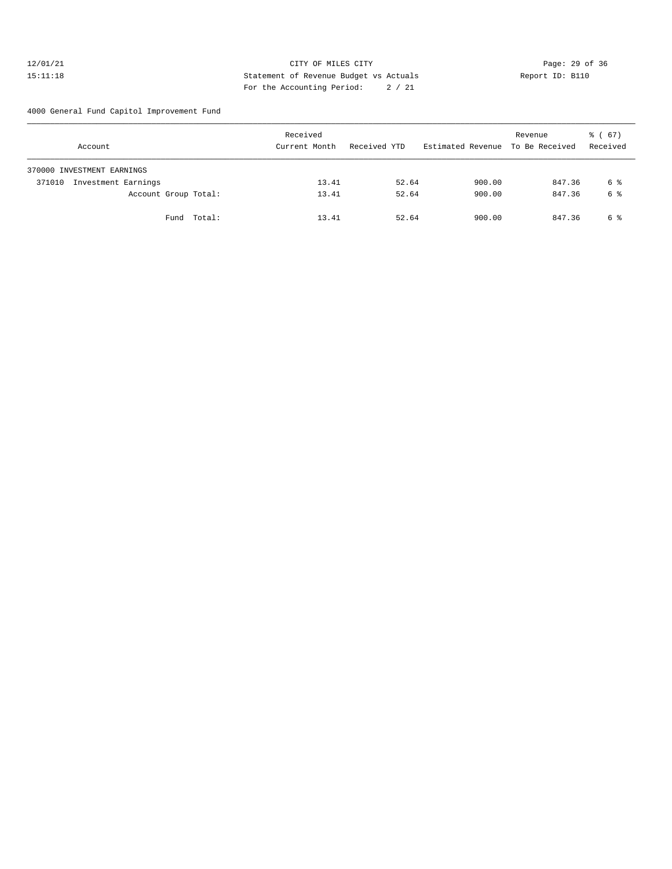## 12/01/21 Page: 29 of 36 15:11:18 Statement of Revenue Budget vs Actuals Report ID: B110 For the Accounting Period: 2 / 21

4000 General Fund Capitol Improvement Fund

| Account                       | Received<br>Current Month | Received YTD | Estimated Revenue To Be Received | Revenue | 8 ( 67 )<br>Received |
|-------------------------------|---------------------------|--------------|----------------------------------|---------|----------------------|
| 370000 INVESTMENT EARNINGS    |                           |              |                                  |         |                      |
| Investment Earnings<br>371010 | 13.41                     | 52.64        | 900.00                           | 847.36  | 6 %                  |
| Account Group Total:          | 13.41                     | 52.64        | 900.00                           | 847.36  | 6 %                  |
| Fund Total:                   | 13.41                     | 52.64        | 900.00                           | 847.36  | 6 %                  |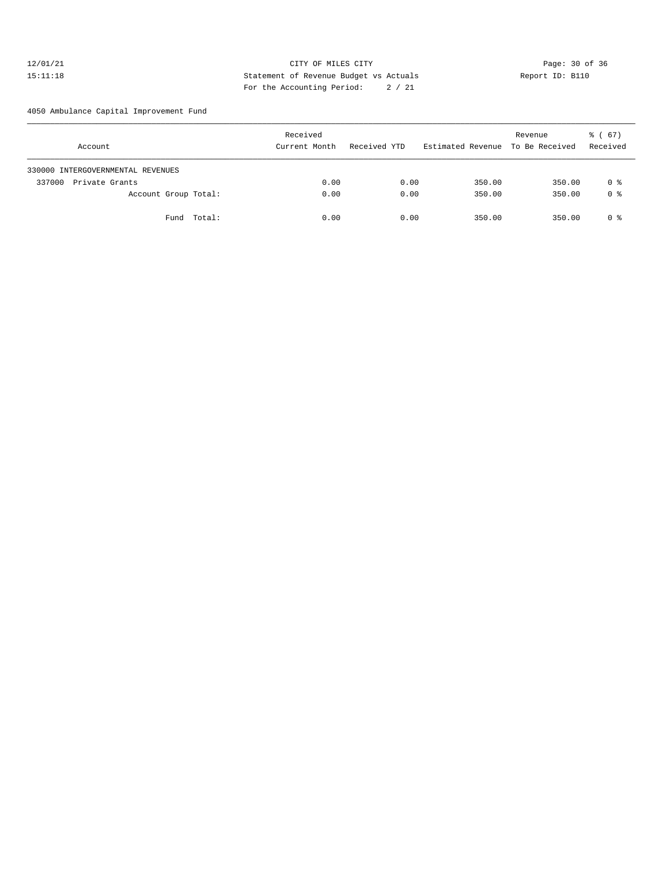## 12/01/21 Page: 30 of 36 Page: 30 of 36 Page: 30 of 36 Page: 30 of 36 Page: 30 of 36 Page: 30 of 36 Page: 30 of 36 15:11:18 Statement of Revenue Budget vs Actuals Report ID: B110 For the Accounting Period: 2 / 21

4050 Ambulance Capital Improvement Fund

| Account                           | Received<br>Current Month | Received YTD | Estimated Revenue To Be Received | Revenue | 8 ( 67)<br>Received |
|-----------------------------------|---------------------------|--------------|----------------------------------|---------|---------------------|
| 330000 INTERGOVERNMENTAL REVENUES |                           |              |                                  |         |                     |
| Private Grants<br>337000          | 0.00                      | 0.00         | 350.00                           | 350.00  | 0 %                 |
| Account Group Total:              | 0.00                      | 0.00         | 350.00                           | 350.00  | 0 %                 |
| Fund Total:                       | 0.00                      | 0.00         | 350.00                           | 350.00  | 0 %                 |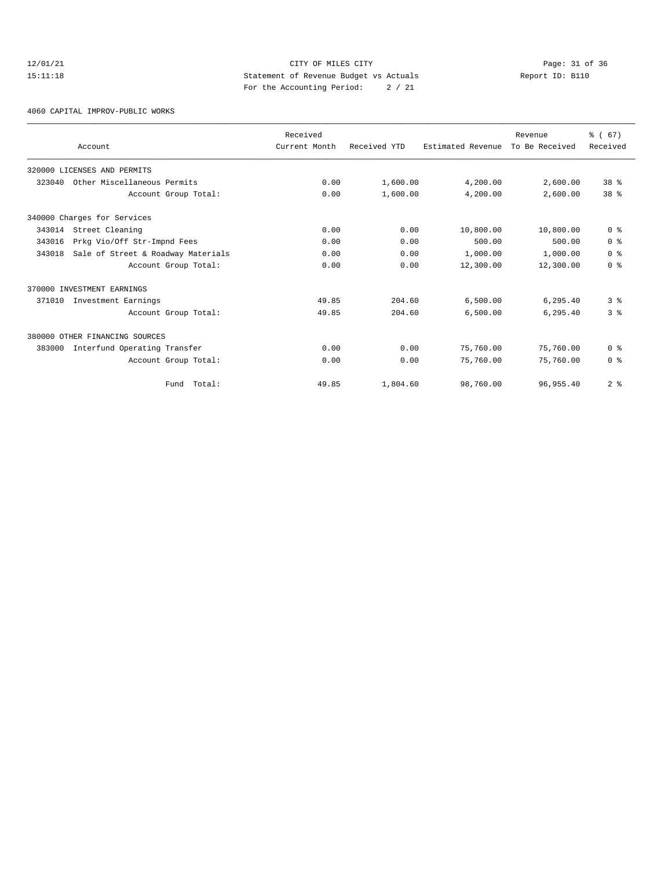## 12/01/21 Page: 31 of 36<br>15:11:18 CITY OF MILES CITY Page: 31 of 36<br>15:11:18 Peport ID: B110 15:11:18 Statement of Revenue Budget vs Actuals Report ID: B110 For the Accounting Period: 2 / 21

4060 CAPITAL IMPROV-PUBLIC WORKS

|        | Account                            | Received<br>Current Month | Received YTD | Estimated Revenue | Revenue<br>To Be Received | % (67)<br>Received |
|--------|------------------------------------|---------------------------|--------------|-------------------|---------------------------|--------------------|
|        | 320000 LICENSES AND PERMITS        |                           |              |                   |                           |                    |
| 323040 | Other Miscellaneous Permits        | 0.00                      | 1,600.00     | 4,200.00          | 2,600.00                  | 38 <sup>8</sup>    |
|        | Account Group Total:               | 0.00                      | 1,600.00     | 4,200.00          | 2,600.00                  | 38 <sup>8</sup>    |
|        | 340000 Charges for Services        |                           |              |                   |                           |                    |
| 343014 | Street Cleaning                    | 0.00                      | 0.00         | 10,800.00         | 10,800.00                 | 0 <sup>8</sup>     |
| 343016 | Prkg Vio/Off Str-Impnd Fees        | 0.00                      | 0.00         | 500.00            | 500.00                    | 0 <sup>8</sup>     |
| 343018 | Sale of Street & Roadway Materials | 0.00                      | 0.00         | 1,000.00          | 1,000.00                  | 0 <sup>8</sup>     |
|        | Account Group Total:               | 0.00                      | 0.00         | 12,300.00         | 12,300.00                 | 0 <sup>8</sup>     |
|        | 370000 INVESTMENT EARNINGS         |                           |              |                   |                           |                    |
| 371010 | Investment Earnings                | 49.85                     | 204.60       | 6,500.00          | 6, 295.40                 | 3 <sup>8</sup>     |
|        | Account Group Total:               | 49.85                     | 204.60       | 6,500.00          | 6,295.40                  | 3 <sup>8</sup>     |
|        | 380000 OTHER FINANCING SOURCES     |                           |              |                   |                           |                    |
| 383000 | Interfund Operating Transfer       | 0.00                      | 0.00         | 75,760.00         | 75,760.00                 | 0 <sup>8</sup>     |
|        | Account Group Total:               | 0.00                      | 0.00         | 75,760.00         | 75,760.00                 | 0 <sup>8</sup>     |
|        | Fund Total:                        | 49.85                     | 1,804.60     | 98,760.00         | 96, 955, 40               | 2 <sup>8</sup>     |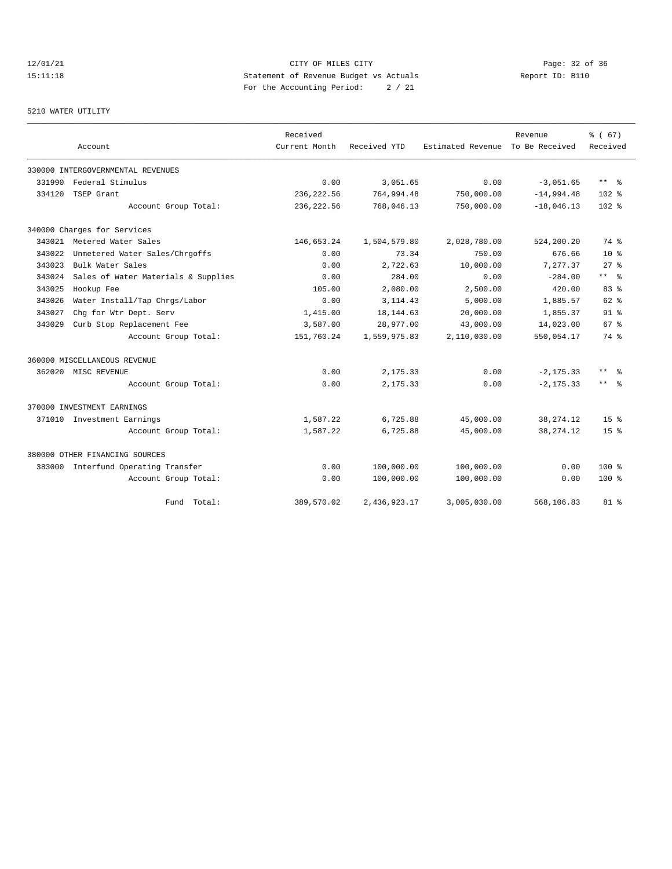# 12/01/21 Page: 32 of 36<br>15:11:18 CITY OF MILES CITY CITY PAGE: 32 of 36<br>15:11:18 Statement of Revenue Budget vs Actuals Report ID: B110 15:11:18 Statement of Revenue Budget vs Actuals Report ID: B110 For the Accounting Period: 2 / 21

## 5210 WATER UTILITY

|        |                                     | Received      |              |                   | Revenue        | % (67)                  |
|--------|-------------------------------------|---------------|--------------|-------------------|----------------|-------------------------|
|        | Account                             | Current Month | Received YTD | Estimated Revenue | To Be Received | Received                |
|        | 330000 INTERGOVERNMENTAL REVENUES   |               |              |                   |                |                         |
| 331990 | Federal Stimulus                    | 0.00          | 3,051.65     | 0.00              | $-3,051.65$    | $***$ $=$ $\frac{6}{5}$ |
| 334120 | TSEP Grant                          | 236, 222.56   | 764,994.48   | 750,000.00        | $-14,994.48$   | $102$ %                 |
|        | Account Group Total:                | 236, 222.56   | 768,046.13   | 750,000.00        | $-18,046.13$   | 102 <sub>8</sub>        |
|        | 340000 Charges for Services         |               |              |                   |                |                         |
|        | 343021 Metered Water Sales          | 146,653.24    | 1,504,579.80 | 2,028,780.00      | 524,200.20     | 74 %                    |
| 343022 | Unmetered Water Sales/Chrgoffs      | 0.00          | 73.34        | 750.00            | 676.66         | $10*$                   |
| 343023 | Bulk Water Sales                    | 0.00          | 2,722.63     | 10,000.00         | 7,277.37       | $27*$                   |
| 343024 | Sales of Water Materials & Supplies | 0.00          | 284.00       | 0.00              | $-284.00$      | ** %                    |
| 343025 | Hookup Fee                          | 105.00        | 2,080.00     | 2,500.00          | 420.00         | $83*$                   |
| 343026 | Water Install/Tap Chrgs/Labor       | 0.00          | 3, 114.43    | 5,000.00          | 1,885.57       | $62*$                   |
| 343027 | Chg for Wtr Dept. Serv              | 1,415.00      | 18, 144.63   | 20,000.00         | 1,855.37       | $91*$                   |
| 343029 | Curb Stop Replacement Fee           | 3,587.00      | 28,977.00    | 43,000.00         | 14,023.00      | 67 <sup>8</sup>         |
|        | Account Group Total:                | 151,760.24    | 1,559,975.83 | 2,110,030.00      | 550,054.17     | 74 %                    |
|        | 360000 MISCELLANEOUS REVENUE        |               |              |                   |                |                         |
|        | 362020 MISC REVENUE                 | 0.00          | 2,175.33     | 0.00              | $-2, 175.33$   | ** %                    |
|        | Account Group Total:                | 0.00          | 2,175.33     | 0.00              | $-2, 175.33$   | $***$ $=$               |
|        | 370000 INVESTMENT EARNINGS          |               |              |                   |                |                         |
|        | 371010 Investment Earnings          | 1,587.22      | 6,725.88     | 45,000.00         | 38, 274. 12    | $15*$                   |
|        | Account Group Total:                | 1,587.22      | 6,725.88     | 45,000.00         | 38, 274. 12    | $15*$                   |
|        | 380000 OTHER FINANCING SOURCES      |               |              |                   |                |                         |
|        | 383000 Interfund Operating Transfer | 0.00          | 100,000.00   | 100,000.00        | 0.00           | $100*$                  |
|        | Account Group Total:                | 0.00          | 100,000.00   | 100,000.00        | 0.00           | $100*$                  |
|        | Fund Total:                         | 389,570.02    | 2,436,923.17 | 3,005,030.00      | 568,106.83     | $81*$                   |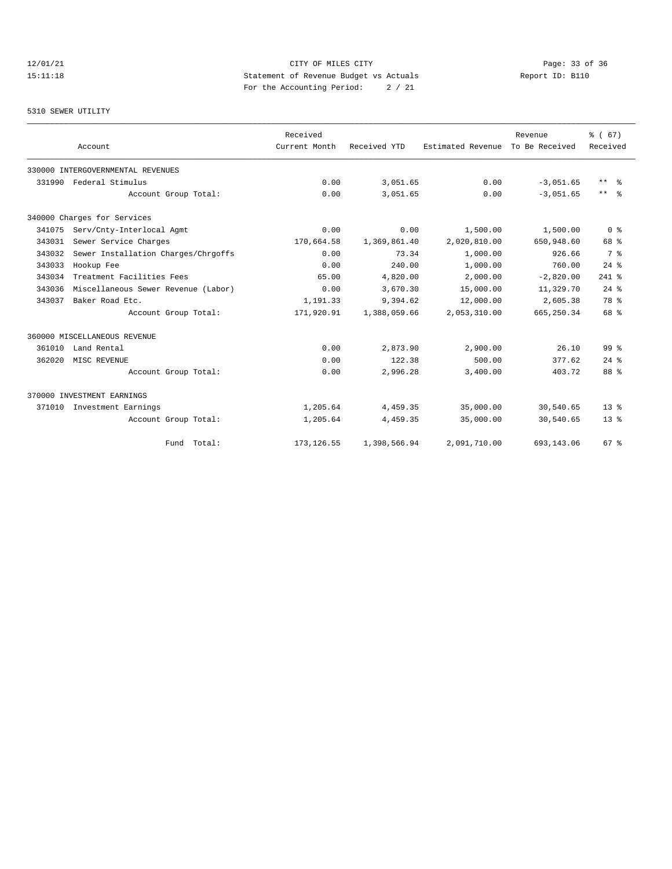# 12/01/21 CITY OF MILES CITY CHEREN CITY CHEREN Page: 33 of 36 CITY CHEREN PAGE 23 OF 36 CITY CHEREN CITY CHEREN PAGE 23 OF 26 CITY CHEREN PAGE 23 OF 26 CHEREN DESCRIPTION CONTROLLER STATES OF REVENUE BLOGGERY CHEREN PAGE 2 15:11:18 Statement of Revenue Budget vs Actuals Report ID: B110 For the Accounting Period: 2 / 21

## 5310 SEWER UTILITY

|        |                                     |                      | Received      |              |                   | Revenue        | % (67)              |
|--------|-------------------------------------|----------------------|---------------|--------------|-------------------|----------------|---------------------|
|        | Account                             |                      | Current Month | Received YTD | Estimated Revenue | To Be Received | Received            |
|        | 330000 INTERGOVERNMENTAL REVENUES   |                      |               |              |                   |                |                     |
| 331990 | Federal Stimulus                    |                      | 0.00          | 3,051.65     | 0.00              | $-3,051.65$    | $***$ $%$           |
|        |                                     | Account Group Total: | 0.00          | 3,051.65     | 0.00              | $-3.051.65$    | $\star\star$<br>- 옹 |
|        | 340000 Charges for Services         |                      |               |              |                   |                |                     |
| 341075 | Serv/Cnty-Interlocal Agmt           |                      | 0.00          | 0.00         | 1,500.00          | 1,500.00       | 0 <sup>8</sup>      |
| 343031 | Sewer Service Charges               |                      | 170,664.58    | 1,369,861.40 | 2,020,810.00      | 650,948.60     | 68 %                |
| 343032 | Sewer Installation Charges/Chrgoffs |                      | 0.00          | 73.34        | 1,000.00          | 926.66         | 7 %                 |
| 343033 | Hookup Fee                          |                      | 0.00          | 240.00       | 1,000.00          | 760.00         | $24$ $%$            |
| 343034 | Treatment Facilities Fees           |                      | 65.00         | 4,820.00     | 2,000.00          | $-2,820.00$    | $241$ %             |
| 343036 | Miscellaneous Sewer Revenue (Labor) |                      | 0.00          | 3,670.30     | 15,000.00         | 11,329.70      | $24$ $%$            |
| 343037 | Baker Road Etc.                     |                      | 1,191.33      | 9,394.62     | 12,000.00         | 2,605.38       | 78 %                |
|        |                                     | Account Group Total: | 171,920.91    | 1,388,059.66 | 2,053,310.00      | 665, 250.34    | 68 %                |
|        | 360000 MISCELLANEOUS REVENUE        |                      |               |              |                   |                |                     |
| 361010 | Land Rental                         |                      | 0.00          | 2,873.90     | 2,900.00          | 26.10          | $99*$               |
| 362020 | MISC REVENUE                        |                      | 0.00          | 122.38       | 500.00            | 377.62         | $24$ $%$            |
|        |                                     | Account Group Total: | 0.00          | 2,996.28     | 3,400.00          | 403.72         | 88 %                |
|        | 370000 INVESTMENT EARNINGS          |                      |               |              |                   |                |                     |
| 371010 | Investment Earnings                 |                      | 1,205.64      | 4,459.35     | 35,000.00         | 30,540.65      | $13*$               |
|        |                                     | Account Group Total: | 1,205.64      | 4,459.35     | 35,000.00         | 30,540.65      | 13 <sup>8</sup>     |
|        |                                     | Fund Total:          | 173, 126.55   | 1,398,566.94 | 2,091,710.00      | 693,143.06     | 67 %                |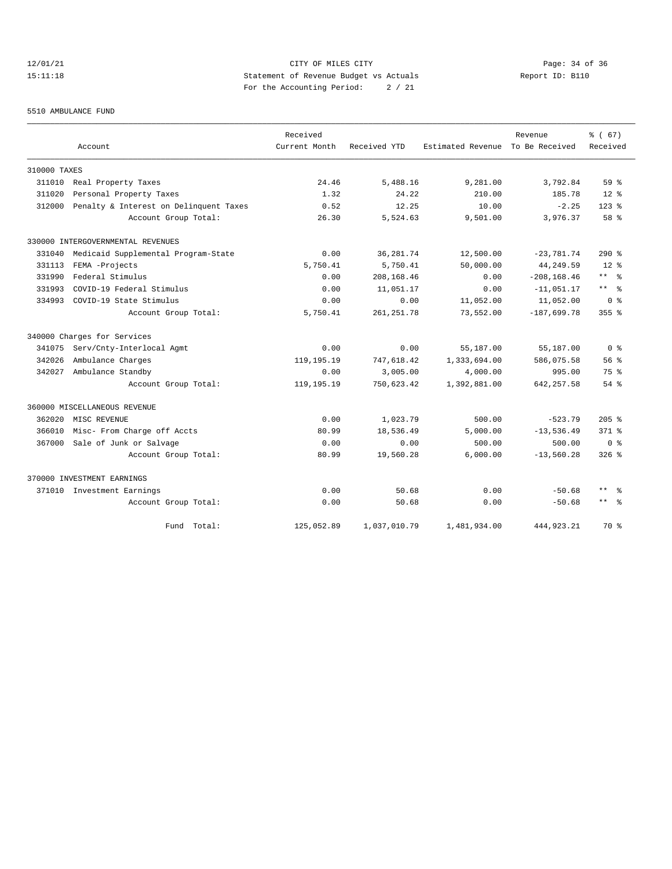## 12/01/21 Page: 34 of 36 15:11:18 Statement of Revenue Budget vs Actuals Report ID: B110 For the Accounting Period: 2 / 21

#### 5510 AMBULANCE FUND

|              |                                        | Received      |              |                   | Revenue        | % (67)              |
|--------------|----------------------------------------|---------------|--------------|-------------------|----------------|---------------------|
|              | Account                                | Current Month | Received YTD | Estimated Revenue | To Be Received | Received            |
| 310000 TAXES |                                        |               |              |                   |                |                     |
| 311010       | Real Property Taxes                    | 24.46         | 5,488.16     | 9,281.00          | 3,792.84       | 59 <sup>8</sup>     |
| 311020       | Personal Property Taxes                | 1.32          | 24.22        | 210.00            | 185.78         | $12*$               |
| 312000       | Penalty & Interest on Delinquent Taxes | 0.52          | 12.25        | 10.00             | $-2.25$        | $123$ $%$           |
|              | Account Group Total:                   | 26.30         | 5,524.63     | 9,501.00          | 3,976.37       | $58*$               |
|              | 330000 INTERGOVERNMENTAL REVENUES      |               |              |                   |                |                     |
| 331040       | Medicaid Supplemental Program-State    | 0.00          | 36, 281.74   | 12,500.00         | $-23,781.74$   | $290$ %             |
| 331113       | FEMA -Projects                         | 5,750.41      | 5,750.41     | 50,000.00         | 44,249.59      | $12*$               |
| 331990       | Federal Stimulus                       | 0.00          | 208, 168.46  | 0.00              | $-208, 168.46$ | $***$ %             |
| 331993       | COVID-19 Federal Stimulus              | 0.00          | 11,051.17    | 0.00              | $-11,051.17$   | $***$ $=$           |
| 334993       | COVID-19 State Stimulus                | 0.00          | 0.00         | 11,052.00         | 11,052.00      | 0 <sup>8</sup>      |
|              | Account Group Total:                   | 5,750.41      | 261, 251.78  | 73,552.00         | $-187,699.78$  | $355$ $%$           |
|              | 340000 Charges for Services            |               |              |                   |                |                     |
| 341075       | Serv/Cnty-Interlocal Agmt              | 0.00          | 0.00         | 55,187.00         | 55,187.00      | 0 <sup>8</sup>      |
| 342026       | Ambulance Charges                      | 119, 195. 19  | 747,618.42   | 1,333,694.00      | 586,075.58     | 56 <sup>8</sup>     |
| 342027       | Ambulance Standby                      | 0.00          | 3,005.00     | 4,000.00          | 995.00         | 75%                 |
|              | Account Group Total:                   | 119, 195. 19  | 750,623.42   | 1,392,881.00      | 642, 257.58    | $54$ $%$            |
|              | 360000 MISCELLANEOUS REVENUE           |               |              |                   |                |                     |
| 362020       | MISC REVENUE                           | 0.00          | 1,023.79     | 500.00            | $-523.79$      | $205$ %             |
| 366010       | Misc- From Charge off Accts            | 80.99         | 18,536.49    | 5,000.00          | $-13,536.49$   | $371$ $%$           |
| 367000       | Sale of Junk or Salvage                | 0.00          | 0.00         | 500.00            | 500.00         | 0 <sup>8</sup>      |
|              | Account Group Total:                   | 80.99         | 19,560.28    | 6,000.00          | $-13,560.28$   | $326$ $%$           |
|              | 370000 INVESTMENT EARNINGS             |               |              |                   |                |                     |
|              | 371010 Investment Earnings             | 0.00          | 50.68        | 0.00              | $-50.68$       | $***$<br>- 왕        |
|              | Account Group Total:                   | 0.00          | 50.68        | 0.00              | $-50.68$       | $\star\star$<br>ം ക |
|              | Fund Total:                            | 125,052.89    | 1,037,010.79 | 1,481,934.00      | 444, 923, 21   | 70 %                |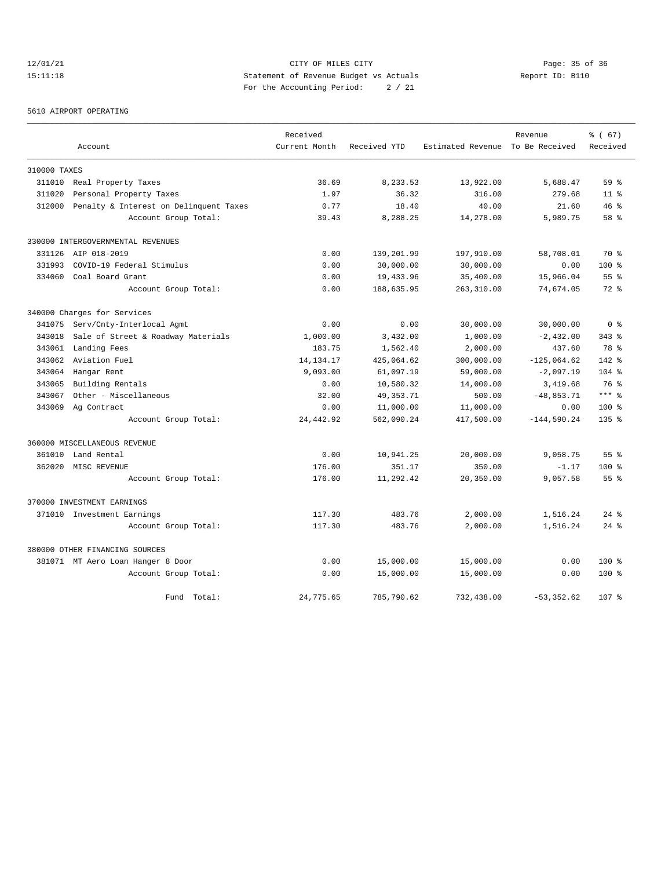# 12/01/21 Page: 35 of 36<br>15:11:18 CITY OF MILES CITY CITY PAGE: 15 Of 36<br>15:11:18 Statement of Revenue Budget vs Actuals Report ID: B110 15:11:18 Statement of Revenue Budget vs Actuals Report ID: B110 For the Accounting Period: 2 / 21

#### 5610 AIRPORT OPERATING

|              |                                        | Received      |              |                                  | Revenue       | % (67)          |
|--------------|----------------------------------------|---------------|--------------|----------------------------------|---------------|-----------------|
|              | Account                                | Current Month | Received YTD | Estimated Revenue To Be Received |               | Received        |
| 310000 TAXES |                                        |               |              |                                  |               |                 |
|              | 311010 Real Property Taxes             | 36.69         | 8,233.53     | 13,922.00                        | 5,688.47      | 59 <sup>8</sup> |
| 311020       | Personal Property Taxes                | 1.97          | 36.32        | 316.00                           | 279.68        | 11 <sup>8</sup> |
| 312000       | Penalty & Interest on Delinquent Taxes | 0.77          | 18.40        | 40.00                            | 21.60         | 46%             |
|              | Account Group Total:                   | 39.43         | 8,288.25     | 14,278.00                        | 5,989.75      | 58 <sup>8</sup> |
|              | 330000 INTERGOVERNMENTAL REVENUES      |               |              |                                  |               |                 |
|              | 331126 AIP 018-2019                    | 0.00          | 139,201.99   | 197,910.00                       | 58,708.01     | 70 %            |
| 331993       | COVID-19 Federal Stimulus              | 0.00          | 30,000.00    | 30,000.00                        | 0.00          | 100 %           |
| 334060       | Coal Board Grant                       | 0.00          | 19,433.96    | 35,400.00                        | 15,966.04     | 55 <sup>8</sup> |
|              | Account Group Total:                   | 0.00          | 188,635.95   | 263,310.00                       | 74,674.05     | $72*$           |
|              | 340000 Charges for Services            |               |              |                                  |               |                 |
| 341075       | Serv/Cnty-Interlocal Agmt              | 0.00          | 0.00         | 30,000.00                        | 30,000.00     | 0 <sup>8</sup>  |
| 343018       | Sale of Street & Roadway Materials     | 1,000.00      | 3,432.00     | 1,000.00                         | $-2,432.00$   | $343$ $%$       |
| 343061       | Landing Fees                           | 183.75        | 1,562.40     | 2,000.00                         | 437.60        | 78 %            |
| 343062       | Aviation Fuel                          | 14, 134. 17   | 425,064.62   | 300,000.00                       | $-125,064.62$ | $142*$          |
| 343064       | Hangar Rent                            | 9,093.00      | 61,097.19    | 59,000.00                        | $-2,097.19$   | $104$ %         |
| 343065       | Building Rentals                       | 0.00          | 10,580.32    | 14,000.00                        | 3,419.68      | 76 %            |
| 343067       | Other - Miscellaneous                  | 32.00         | 49, 353. 71  | 500.00                           | $-48,853.71$  | $***$ %         |
| 343069       | Ag Contract                            | 0.00          | 11,000.00    | 11,000.00                        | 0.00          | 100 %           |
|              | Account Group Total:                   | 24, 442.92    | 562,090.24   | 417,500.00                       | $-144,590.24$ | $135*$          |
|              | 360000 MISCELLANEOUS REVENUE           |               |              |                                  |               |                 |
|              | 361010 Land Rental                     | 0.00          | 10,941.25    | 20,000.00                        | 9,058.75      | 55 <sup>8</sup> |
|              | 362020 MISC REVENUE                    | 176.00        | 351.17       | 350.00                           | $-1.17$       | $100$ %         |
|              | Account Group Total:                   | 176.00        | 11,292.42    | 20,350.00                        | 9,057.58      | 55 <sup>8</sup> |
|              | 370000 INVESTMENT EARNINGS             |               |              |                                  |               |                 |
|              | 371010 Investment Earnings             | 117.30        | 483.76       | 2,000.00                         | 1,516.24      | $24$ $%$        |
|              | Account Group Total:                   | 117.30        | 483.76       | 2,000.00                         | 1,516.24      | $24$ $%$        |
|              | 380000 OTHER FINANCING SOURCES         |               |              |                                  |               |                 |
|              | 381071 MT Aero Loan Hanger 8 Door      | 0.00          | 15,000.00    | 15,000.00                        | 0.00          | 100 %           |
|              | Account Group Total:                   | 0.00          | 15,000.00    | 15,000.00                        | 0.00          | 100 %           |
|              | Fund Total:                            | 24,775.65     | 785,790.62   | 732,438.00                       | $-53, 352.62$ | 107 %           |